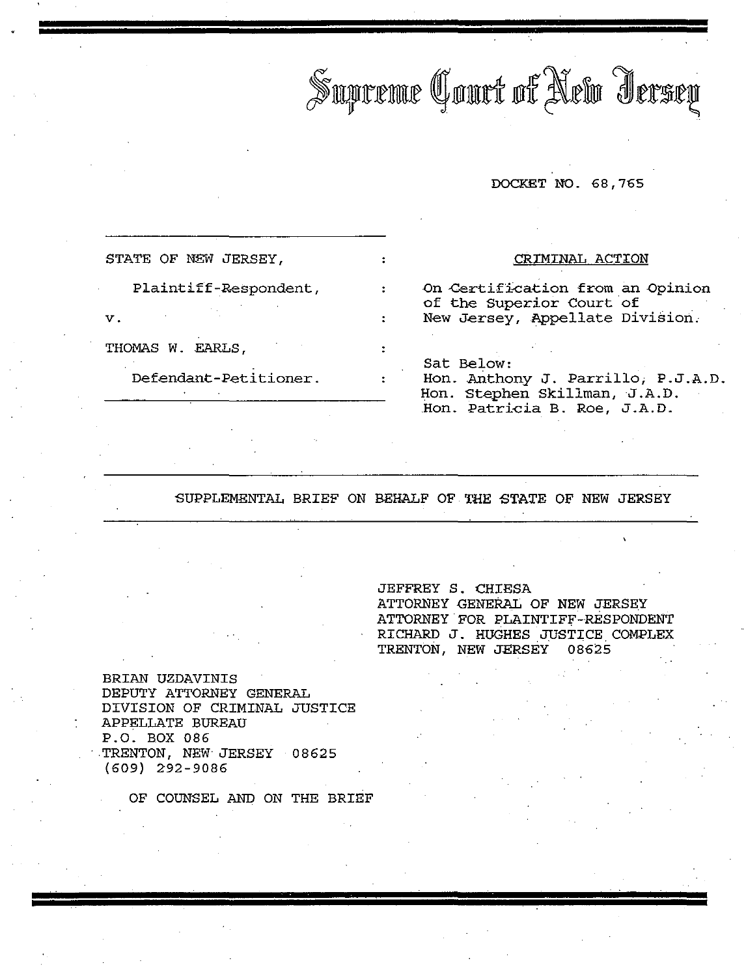Supreme Court of New Jersey

### DOCKET NO. 68,765

STATE OF NEW JERSEY,

Plaintiff-ReSpondent,

v.

THOMAS W. EARLS,

Defendant-Petitioner.

### CRIMINAL ACTION

On Certification from an Opinion of the Superior Court of New Jersey, Appellate Division,

Sat Below:

Hon. Anthony J. Parrillo; P.J.A.D. Hon. Stephen Skillman, J.A.D. Hon. Patricia B. Roe, <sup>J</sup> .A. D.

BUPPLEMENTAL BRIEF ON BEHALF OF THE STATE OF NEW JERSEY

 $\mathcal{L}^{\pm}$ 

JEFFREY S. CHIESA ATTORNEY GENERAL OF NEW JERSEY ATTORNEY FOR PLAINTIFF-RESPONDENT RICHARD J. HUGHES JUSTICE COMPLEX TRENTON, NEW JERSEY 08625

BRIAN UZDAVINIS DEPUTY ATTORNEY GENERAL DIVISION OF CRIMINAL JUSTICE APPELLATE BUREAU P.O. BOX 086 . TRENTON, NEW JERSEY 08625 (609) 292-9086

OF COUNSEL AND ON THE BRIEF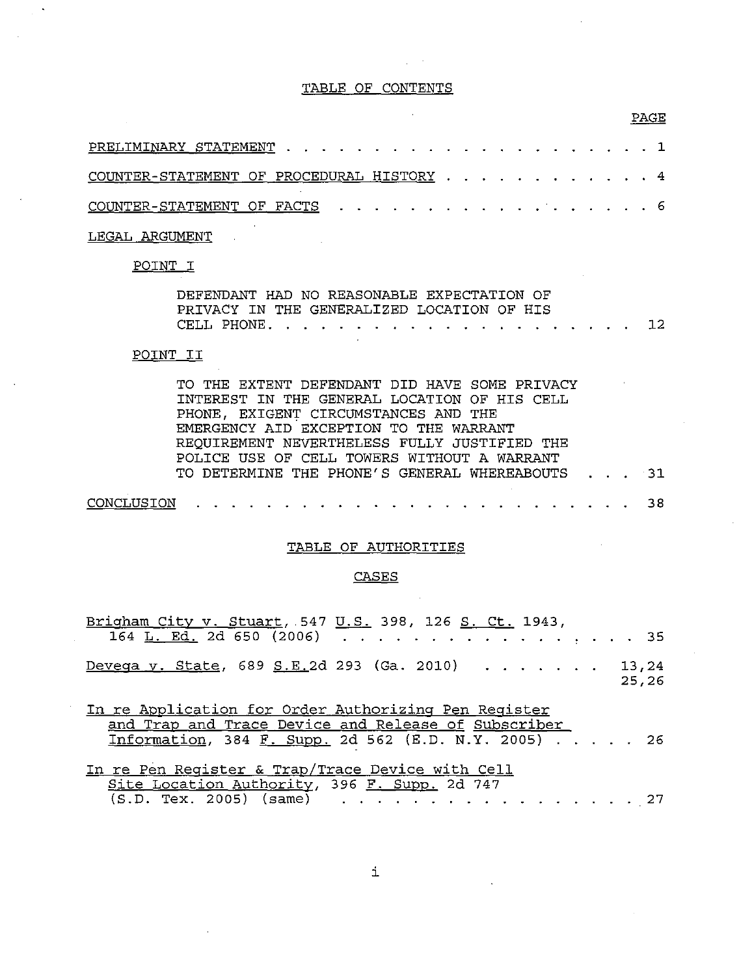### TABLE OF CONTENTS

 $\mathcal{L}_{\rm eff}$  and  $\mathcal{L}_{\rm eff}$ 

 $\ddot{\phantom{a}}$ 

| COUNTER-STATEMENT OF PROCEDURAL HISTORY 4 |  |  |  |  |  |  |  |  |  |  |  |  |  |  |
|-------------------------------------------|--|--|--|--|--|--|--|--|--|--|--|--|--|--|
| COUNTER-STATEMENT OF FACTS 6              |  |  |  |  |  |  |  |  |  |  |  |  |  |  |

## LEGAL ARGUMENT

 $\bar{z}$ 

# POINT I

| DEFENDANT HAD NO REASONABLE EXPECTATION OF |  |  |  |  |  |  |  |  |  |  |
|--------------------------------------------|--|--|--|--|--|--|--|--|--|--|
| PRIVACY IN THE GENERALIZED LOCATION OF HIS |  |  |  |  |  |  |  |  |  |  |
|                                            |  |  |  |  |  |  |  |  |  |  |

## POINT II

| TO THE EXTENT DEFENDANT DID HAVE SOME PRIVACY   |  |  |
|-------------------------------------------------|--|--|
| INTEREST IN THE GENERAL LOCATION OF HIS CELL    |  |  |
| PHONE, EXIGENT CIRCUMSTANCES AND THE            |  |  |
| EMERGENCY AID EXCEPTION TO THE WARRANT          |  |  |
| REQUIREMENT NEVERTHELESS FULLY JUSTIFIED THE    |  |  |
| POLICE USE OF CELL TOWERS WITHOUT A WARRANT     |  |  |
| TO DETERMINE THE PHONE'S GENERAL WHEREABOUTS 31 |  |  |
|                                                 |  |  |
|                                                 |  |  |

## TABLE OF AUTHORITIES

## CASES

 $\mathcal{L}_{\mathcal{A}}$ 

| Brigham City v. Stuart, 547 U.S. 398, 126 S. Ct. 1943,<br>164 <u>L. Ed.</u> 2d 650 (2006) 35                                                                        |  |  |       |  |
|---------------------------------------------------------------------------------------------------------------------------------------------------------------------|--|--|-------|--|
| Devega y. State, 689 S.E.2d 293 (Ga. 2010) 13,24                                                                                                                    |  |  | 25,26 |  |
| In re Application for Order Authorizing Pen Register<br>and Trap and Trace Device and Release of Subscriber<br>Information, 384 F. Supp. 2d 562 (E.D. N.Y. 2005) 26 |  |  |       |  |
| In re Pen Reqister & Trap/Trace Device with Cell                                                                                                                    |  |  |       |  |

|  |  |  | <u>in re Pen keqister &amp; Trap/Trace Device with Cell</u> |  |  |  |  |  |  |  |  |
|--|--|--|-------------------------------------------------------------|--|--|--|--|--|--|--|--|
|  |  |  | Site Location Authority, 396 F. Supp. 2d 747                |  |  |  |  |  |  |  |  |
|  |  |  | $(S.D. Text. 2005)$ (same) 27                               |  |  |  |  |  |  |  |  |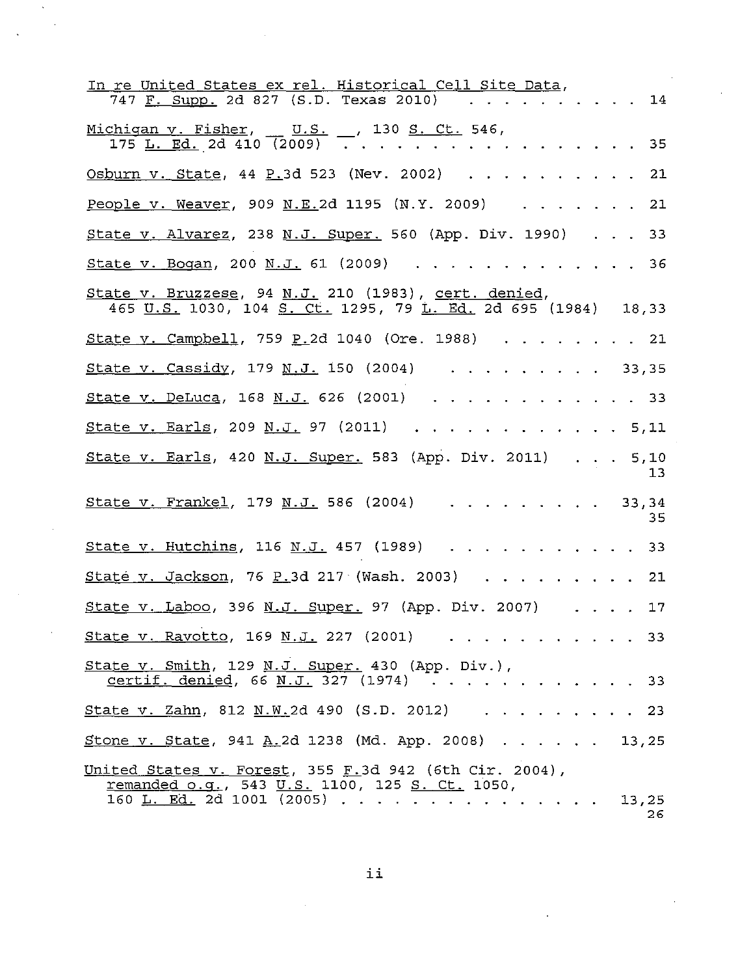| <u>In re United States ex rel. Historical Cell Site Data,</u><br>747 <u>F. Supp.</u> 2d 827 (S.D. Texas 2010)                                                    |  |                         |       | 14         |
|------------------------------------------------------------------------------------------------------------------------------------------------------------------|--|-------------------------|-------|------------|
| Michigan v. Fisher, U.S. 130 S. Ct. 546,<br>$175$ <u>L. Ed.</u> 2d 410 (2009) $\overline{\phantom{a}}$ .                                                         |  |                         |       | - 35       |
| <u>Osburn v. State</u> , 44 P.3d 523 (Nev. 2002)                                                                                                                 |  |                         |       | 21         |
| <u>People v. Weaver</u> , 909 N.E.2d 1195 (N.Y. 2009)                                                                                                            |  |                         |       | 21         |
| State v. Alvarez, 238 N.J. Super. 560 (App. Div. 1990)                                                                                                           |  | $\cdot$ $\cdot$ $\cdot$ |       | 33         |
| <u>State v. Bogan</u> , 200 <u>N.J.</u> 61 (2009)                                                                                                                |  |                         |       | 36         |
| State v. Bruzzese, 94 N.J. 210 (1983), cert. denied,<br>465 <u>U.S.</u> 1030, 104 <u>S. Ct.</u> 1295, 79 <u>i. Ed.</u> 2d 695 (1984)   18,33                     |  |                         |       |            |
| <u>State v. Campbell</u> , 759 P.2d 1040 (Ore. 1988)                                                                                                             |  |                         |       | -21        |
| <u>State v. Cassidy</u> , 179 N.J. 150 (2004)                                                                                                                    |  |                         | 33,35 |            |
| <u>State v. DeLuca</u> , 168 <u>N.J.</u> 626 (2001)                                                                                                              |  |                         |       | - 33       |
| <u>State v. Earls</u> , 209 <u>N.J.</u> 97 (2011)                                                                                                                |  |                         |       | 5,11       |
| <u>State v. Earls</u> , 420 <u>N.J. Super.</u> 583 (App. Div. 2011)                                                                                              |  |                         |       | 5,10<br>13 |
| <u>State v. Frankel</u> , 179 <u>N.J.</u> 586 (2004)                                                                                                             |  |                         | 33,34 | 35         |
| <u>State v. Hutchins</u> , 116 N.J. 457 (1989)                                                                                                                   |  |                         |       | 33         |
| <u>State v. Jackson</u> , 76 P.3d 217 (Wash. 2003)                                                                                                               |  |                         |       | 21         |
| <u>State v. Laboo</u> , 396 <u>N.J. Super.</u> 97 (App. Div. 2007)                                                                                               |  |                         |       | 17         |
| State v. Ravotto, 169 N.J. 227 (2001)                                                                                                                            |  |                         |       | 33         |
| State v. Smith, 129 N.J. Super. 430 (App. Div.),<br>certif. denied, 66 N.J. 327 (1974) 33                                                                        |  |                         |       |            |
| <u>State v. Zahn,</u> 812 N.W.2d 490 (S.D. 2012)<br>. 23                                                                                                         |  |                         |       |            |
| <u>Stone v. State</u> , 941 A.2d 1238 (Md. App. 2008) 13,25                                                                                                      |  |                         |       |            |
| United States v. Forest, 355 F.3d 942 (6th Cir. 2004),<br><u>remanded o.g., 543 U.S.</u> 1100, 125 <u>S. Ct.</u> 1050,<br>160 <u>L. Ed.</u> 2d 1001 (2005) 13,25 |  |                         |       | 26         |

 $\ddot{\phantom{a}}$ l.

ii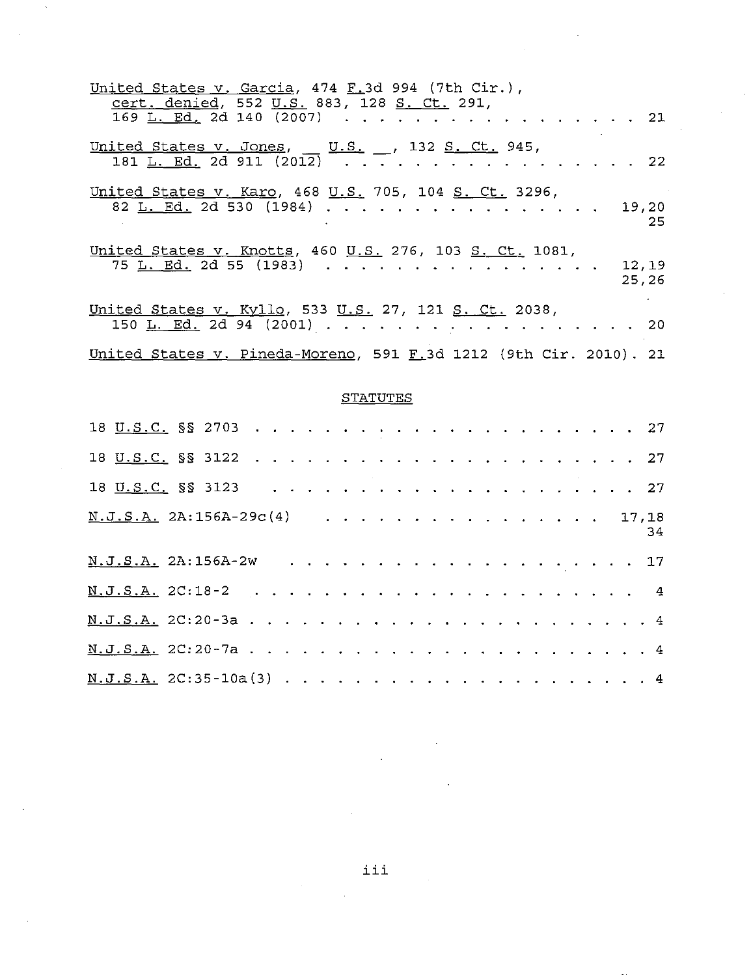| United States v. Garcia, 474 F.3d 994 (7th Cir.),<br>cert. denied, 552 U.S. 883, 128 S. Ct. 291,<br>$169$ <u>L. Ed.</u> 2d 140 (2007) |                                                             |       | -21             |
|---------------------------------------------------------------------------------------------------------------------------------------|-------------------------------------------------------------|-------|-----------------|
| United States v. Jones, $\underline{\text{U.S.}}$ , 132 S. Ct. 945,<br>181 L. Ed. 2d 911 (2012)                                       | $\mathcal{L}^{\text{max}}$ , and $\mathcal{L}^{\text{max}}$ |       | $\overline{22}$ |
| United States v. Karo, 468 U.S. 705, 104 S. Ct. 3296,<br>82 L. Ed. 2d 530 (1984)                                                      |                                                             | 19,20 | -25             |
| United States v. Knotts, 460 U.S. 276, 103 S. Ct. 1081,<br>75 L. Ed. 2d 55 (1983) 12,19                                               |                                                             |       | 25,26           |
| United States v. Kyllo, 533 U.S. 27, 121 S. Ct. 2038,<br>150 <u>L. Ed.</u> 2d 94 (2001) 20                                            |                                                             |       |                 |
| United States v. Pineda-Moreno, 591 F.3d 1212 (9th Cir. 2010). 21                                                                     |                                                             |       |                 |

# **STATUTES**

| $\underline{N. J.S.A.}$ 2A:156A-29c(4) 17,18 |  |  |  |  |  |  |  |  |  |  |  |  | 34 |
|----------------------------------------------|--|--|--|--|--|--|--|--|--|--|--|--|----|
|                                              |  |  |  |  |  |  |  |  |  |  |  |  |    |
|                                              |  |  |  |  |  |  |  |  |  |  |  |  |    |
|                                              |  |  |  |  |  |  |  |  |  |  |  |  |    |
|                                              |  |  |  |  |  |  |  |  |  |  |  |  |    |
|                                              |  |  |  |  |  |  |  |  |  |  |  |  |    |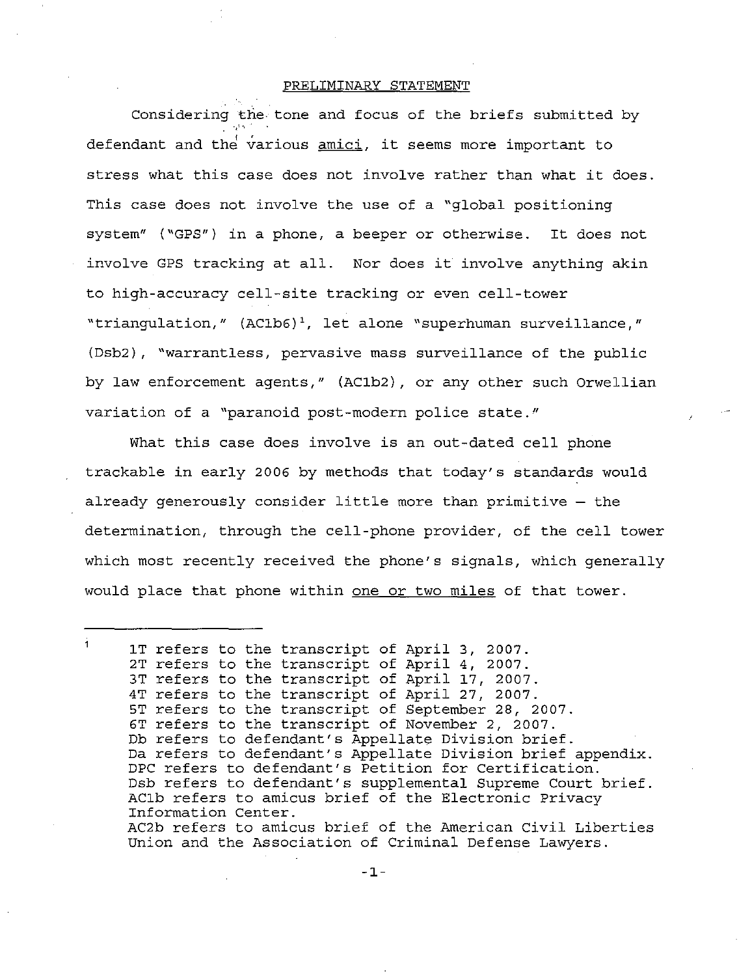### PRELIMINARY STATEMENT

Considering the tone and focus of the briefs submitted by defendant and the various <u>amici</u>, it seems more important to stress what this case does not involve rather than what it does. This case does not involve the use of a "global positioning system" ("GPS") in <sup>a</sup> phone, <sup>a</sup> beeper or otherwise. It does not involve GPS tracking at all. Nor does it involve anything akin to high-accuracy cell-site tracking or even cell-tower "triangulation," (AClb6)', let alone "superhuman surveillance," (Dsb2), "warrantless, pervasive mass surveillance of the public by law enforcement agents," (AClb2), or any other such Orwellian variation of <sup>a</sup> "paranoid post-modern police state,"

What this case does involve is an out-dated cell phone trackable in early 2006 by methods that today's standards would already generously consider little more than primitive - the determination, through the cell-phone provider, of the cell tower which most recently received the phone's signals, which generally would place that phone within one or two miles of that tower.

Ă. IT refers to the transcript of April 3, 2007. 2T refers to the transcript of April 4, 2007. 3T refers to the transcript of April 17, 2007. 4T refers to the transcript of April 27, 2007. 5T refers to the transcript of September 28, 2007. 6T refers to the transcript of November 2, 2007. Db refers to defendant's Appellate Division brief. Da refers to defendant's Appellate Division brief appendix. DPC refers to defendant's Petition for Certification. Dsb refers to defendant's supplemental Supreme Court brief. AClb refers to amicus brief of the Electronic Privacy Information Center. AC2b refers to amicus brief of the American Civil Liberties Union and the Association of Criminal Defense Lawyers.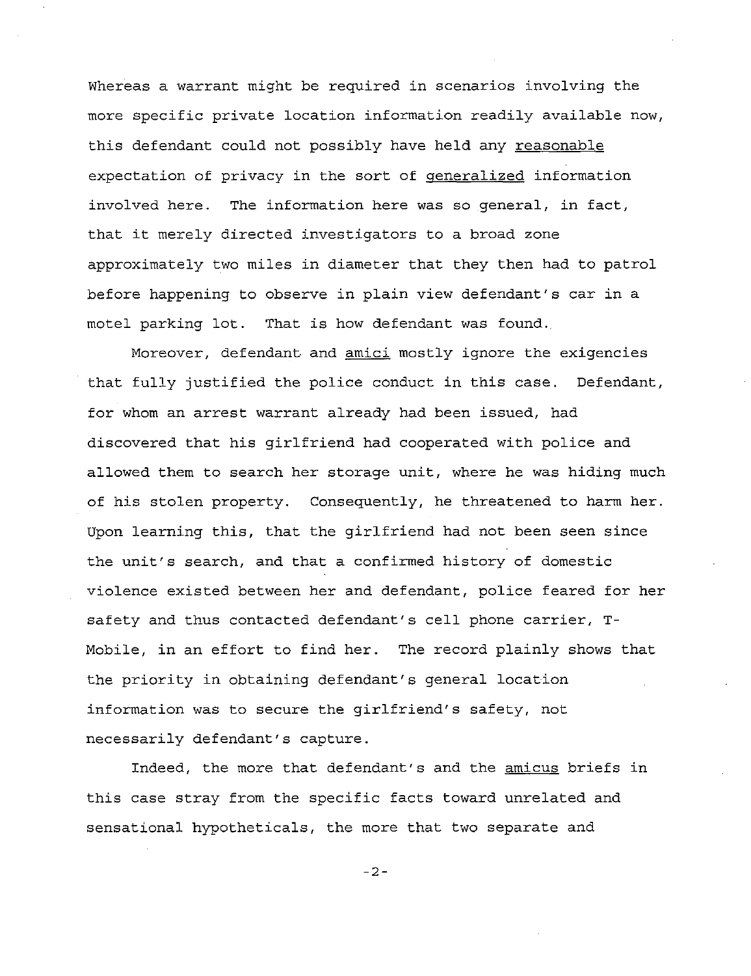Whereas a warrant might be required in scenarios involving the more specific private location information readily available now, this defendant could not possibly have held any reasonable expectation of privacy in the sort of generalized information involved here. The information here was so general, in fact, that it merely directed investigators to <sup>a</sup> broad zone approximately two miles in diameter that they then had to patrol before happening to observe in plain view defendant's car in <sup>a</sup> motel parking lot. That is how defendant was found.

Moreover, defendant and amici mostly ignore the exigencies that fully justified the police conduct in this case. Defendant, for whom an arrest warrant already had been issued, had discovered that his girlfriend had cooperated with police and allowed them to search her storage unit, where he was hiding much of his stolen property. Consequently, he threatened to harm her. Upon learning this, that the girlfriend had not been seen since the unit's search, and that <sup>a</sup> confirmed history of domestic violence existed between her and defendant, police feared for her safety and thus contacted defendant's cell phone carrier, T-Mobile, in an effort to find her. The record plainly shows that the priority in obtaining defendant's general location information was to secure the girlfriend's safety, not necessarily defendant's capture.

Indeed, the more that defendant's and the amicus briefs in this case stray from the specific facts toward unrelated and sensational hypotheticals, the more that two separate and

-2-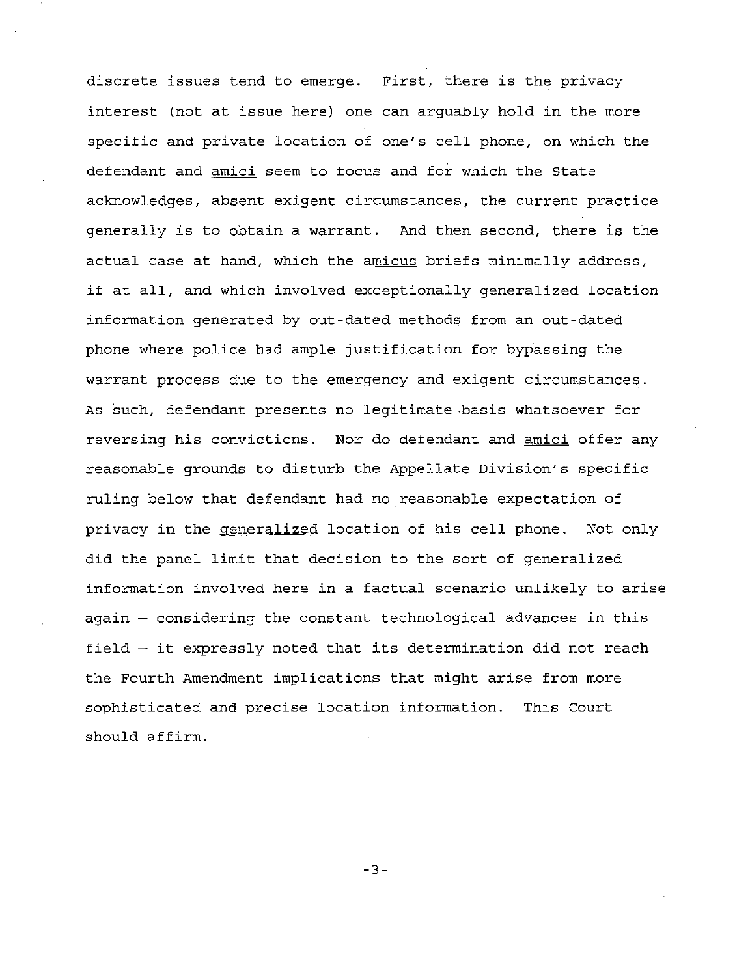discrete issues tend to emerge. First, there is the privacy interest (not at issue here) one can arguably hold in the more specific and private location of one's cell phone, on which the defendant and amici seem to focus and for which the State acknowledges, absent exigent circumstances, the current practice generally is to obtain <sup>a</sup> warrant. And then second, there is the actual case at hand, which the amicus briefs minimally address, if at all, and which involved exceptionally generalized location information generated by out-dated methods from an out-dated phone where police had ample justification for bypassing the warrant process due to the emergency and exigent circumstances. As such, defendant presents no legitimate basis whatsoever for reversing his convictions. Nor do defendant and amici offer any reasonable grounds to disturb the Appellate Division's specific ruling below that defendant had no reasonable expectation of privacy in the generalized location of his cell phone. Not only did the panel limit that decision to the sort of generalized information involved here in a factual scenario unlikely to arise again - considering the constant technological advances in this field  $-$  it expressly noted that its determination did not reach the Fourth Amendment implications that might arise from more sophisticated and precise location information. This Court should affirm.

-3-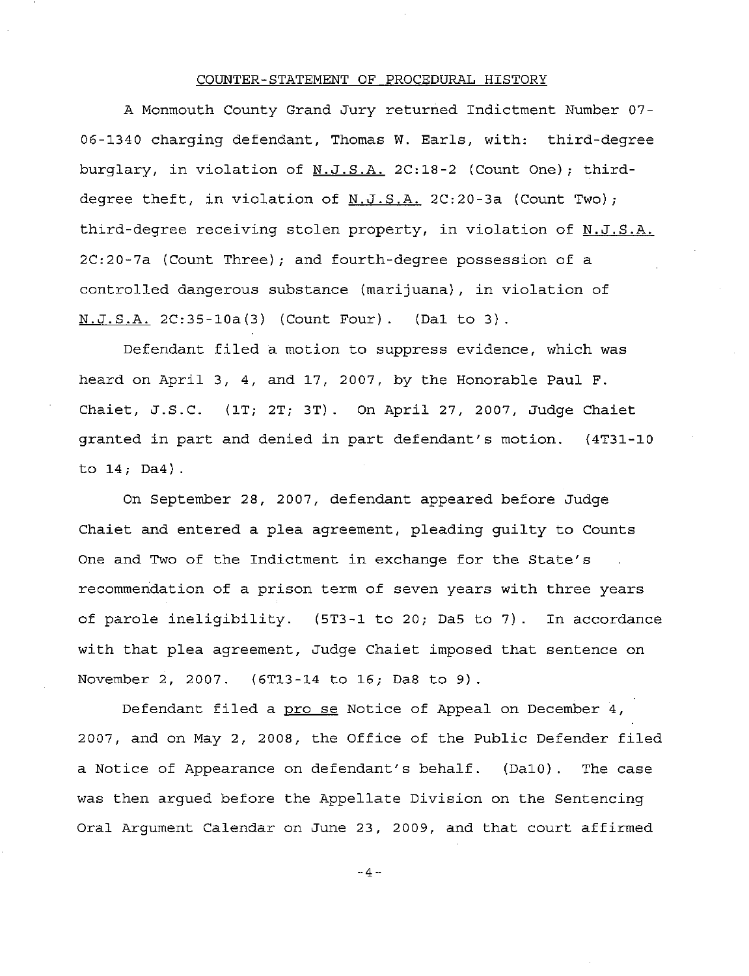### COUNTER-STATEMENT OF PROCEDURAL HISTORY

A Monmouth County Grand Jury returned Indictment Number 07- 06-1340 charging defendant, Thomas W. Earls, with: third-degree burglary, in violation of N.J.S.A. 2C:18-2 (Count One); thirddegree theft, in violation of  $N.J.S.A.$  2C:20-3a (Count Two); third-degree receiving stolen property, in violation of N.J.S.A. 2C:20-7a (Count Three); and fourth-degree possession of a controlled dangerous substance (marijuana), in violation of N.J.S.A. 2C:35-10a(3) (Count Four). (Da1 to 3).

Defendant filed <sup>a</sup> motion to suppress evidence, which was heard on April 3, 4, and 17, 2007, by the Honorable Paul F. Chaiet, J.S.C. (IT; 2T; 3T). On April 27, 2007, Judge Chaiet granted in part and denied in part defendant's motion. (4T31-10 to 14; Da4).

On September 28, 2007, defendant appeared before Judge Chaiet and entered <sup>a</sup> plea agreement, pleading guilty to Counts One and Two of the Indictment in exchange for the State's recommendation of a prison term of seven years with three years of parole ineligibility. (5T3-1 to 20; Da5 to 7). In accordance with that plea agreement, Judge Chaiet imposed that sentence on November 2, 2007. (6T13-14 to 16; Da8 to 9) .

Defendant filed <sup>a</sup> pro se Notice of Appeal on December 4, 2007, and on May 2, 2008, the Office of the Public Defender filed a Notice of Appearance on defendant's behalf. (Da10). The case was then argued before the Appellate Division on the Sentencing Oral Argument Calendar on June 23, 2009, and that court affirmed

 $-4 -$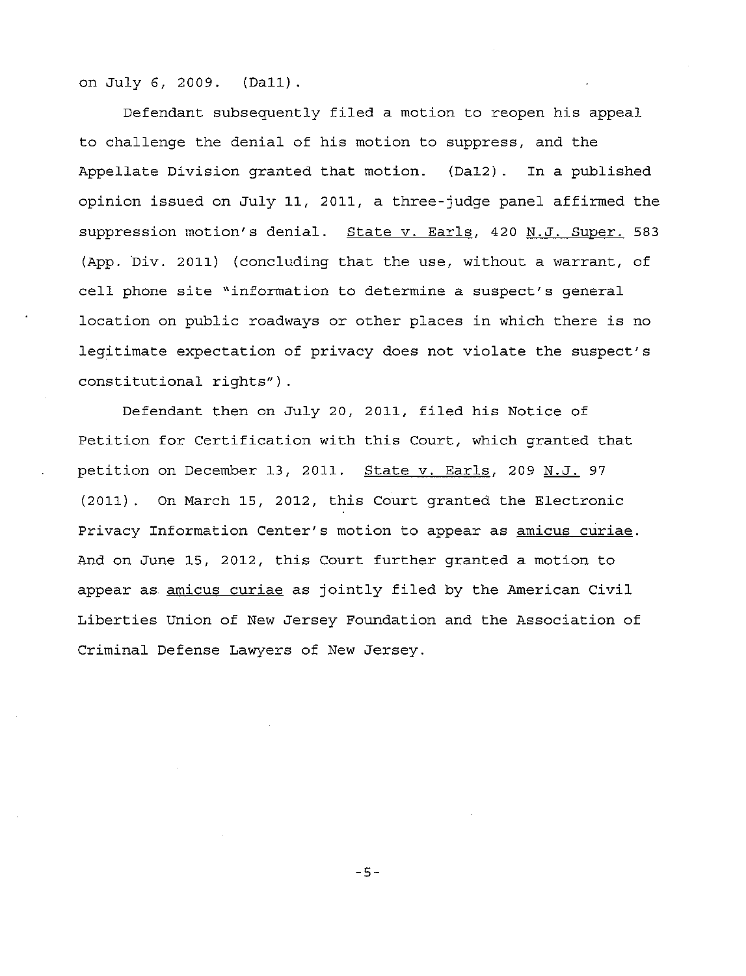on July 6, 2009. (Dal1).

Defendant subsequently filed <sup>a</sup> motion to reopen his appeal to challenge the denial of his motion to suppress, and the Appellate Division granted that motion. (DaI2). In <sup>a</sup> published opinion issued on July 11, 2011, a three-judge panel affirmed the suppression motion's denial. State v. Earls, 420 N.J. Super. 583 (App. Div. 2011) (concluding that the use, without a warrant, of cell phone site "information to determine <sup>a</sup> suspect's general location on public roadways or other places in which there is no legitimate expectation of privacy does not violate the suspect's constitutional rights") .

Defendant then on July 20, 2011, filed his Notice of Petition for Certification with this Court, which granted that petition on December 13, 2011. State v. Earls, 209 N.J. 97 (2011). On March 15, 2012, this Court granted the Electronic Privacy Information Center's motion to appear as amicus curiae. And on June 15, 2012, this Court further granted <sup>a</sup> motion to appear as amicus curiae as jointly filed by the American Civil Liberties Union of New Jersey Foundation and the Association of Criminal Defense Lawyers of New Jersey.

**-5-**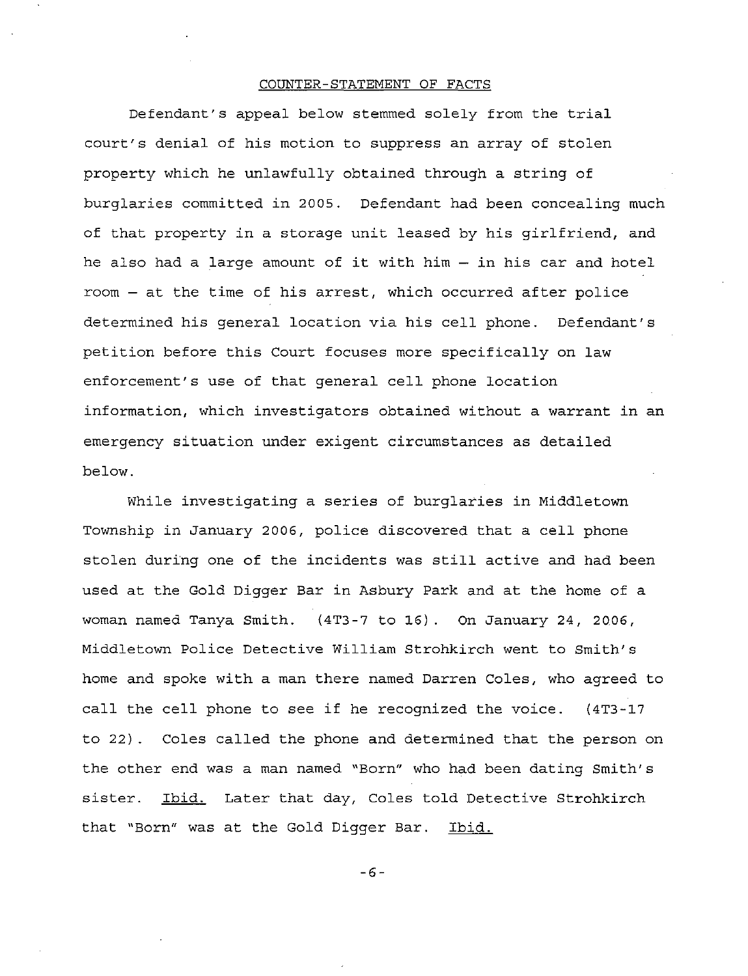### COUNTER-STATEMENT OF FACTS

Defendant's appeal below stemmed solely from the trial court's denial of his motion to suppress an array of stolen property which he unlawfully obtained through <sup>a</sup> string of burglaries committed in 2005. Defendant had been concealing much of that property in <sup>a</sup> storage unit leased by his girlfriend, and he also had a large amount of it with him - in his car and hotel room - at the time of his arrest, which occurred after police determined his general location via his cell phone. Defendant's petition before this Court focuses more specifically on law enforcement's use of that general cell phone location information, which investigators obtained without a warrant in an emergency situation under exigent circumstances as detailed below.

While investigating <sup>a</sup> series of burglaries in Middletown Township in January 2006, police discovered that <sup>a</sup> cell phone stolen during one of the incidents was still active and had been used at the Gold Digger Bar in Asbury Park and at the home of <sup>a</sup> woman named Tanya Smith. (4T3-7 to 16). On January 24, 2006, Middletown Police Detective William Strohkirch went to Smith's home and spoke with a man there named Darren Coles, who agreed to call the cell phone to see if he recognized the voice. (4T3-17 to 22). Coles called the phone and determined that the person on the other end was a man named "Born" who had been dating Smith's sister. Ibid. Later that day, Coles told Detective Strohkirch that "Born" was at the Gold Digger Bar. Ibid.

-6-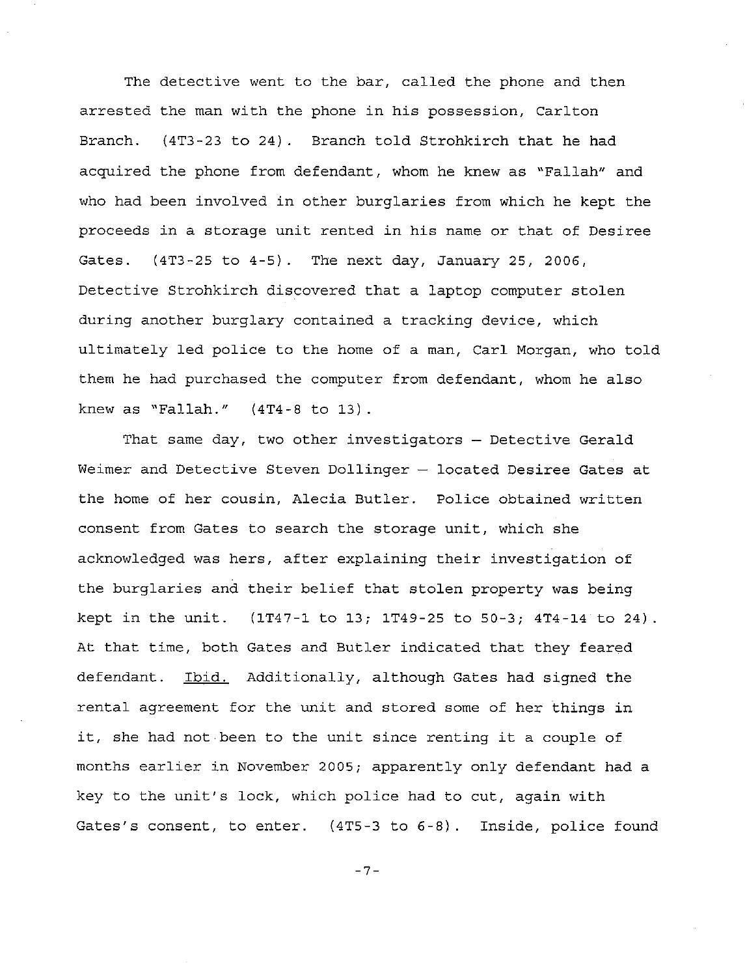The detective went to the bar, called the phone and then arrested the man with the phone in his possession, Carlton Branch. (4T3-23 to 24). Branch told Strohkirch that he had acquired the phone from defendant, whom he knew as "Fallah" and who had been involved in other burglaries from which he kept the proceeds in <sup>a</sup> storage unit rented in his name or that of Desiree Gates. (4T3-25 to 4-5). The next day, January 25, 2006, Detective Strohkirch discovered that a laptop computer stolen during another burglary contained a tracking device, which ultimately led police to the home of a man, Carl Morgan, who told them he had purchased the computer from defendant, whom he also knew as "Fallah." (4T4-8 to 13).

That same day, two other investigators - Detective Gerald Weimer and Detective Steven Dollinger  $-$  located Desiree Gates at the home of her cousin, Alecia Butler. Police obtained written consent from Gates to search the storage unit, which she acknowledged was hers, after explaining their investigation of the burglaries and their belief that stolen property was being kept in the unit. (lT47-1 to 13; 1T49-25 to 50-3; 4T4-14 to 24) At that time, both Gates and Butler indicated that they feared defendant. Ibid. Additionally, although Gates had signed the rental agreement for the unit and stored some of her things in it, she had not been to the unit since renting it <sup>a</sup> couple of months earlier in November 2005; apparently only defendant had <sup>a</sup> key to the unit's lock, which police had to cut, again with Gates's consent, to enter. (4T5-3 to 6-8). Inside, police found

-7-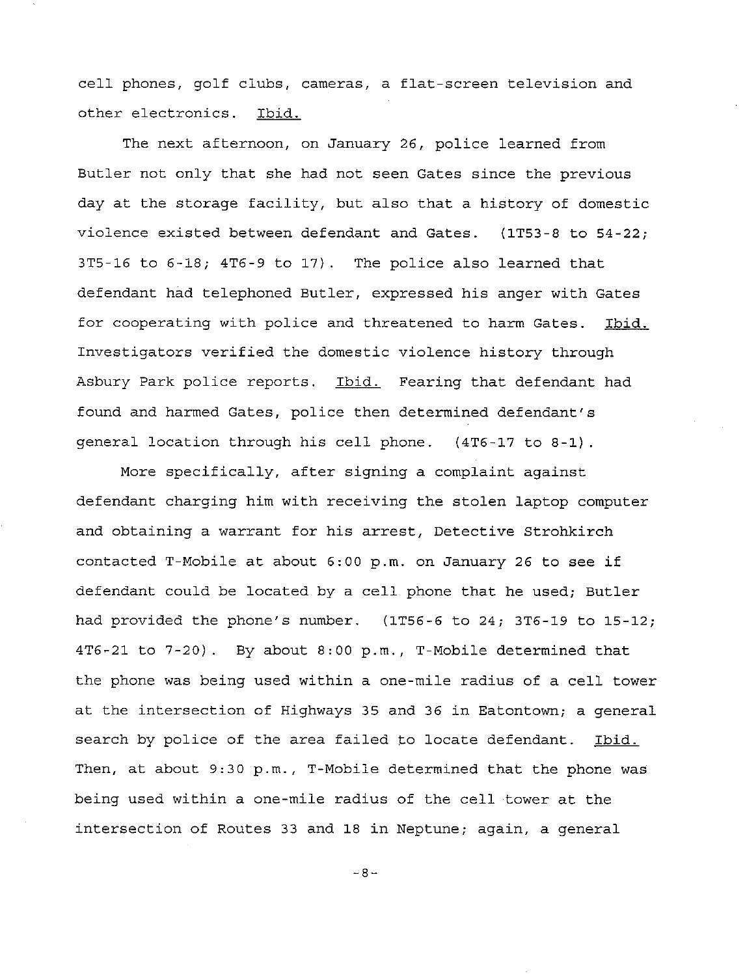cell phones, golf clubs, cameras, <sup>a</sup> flat-screen television and other electronics. Ibid.

The next afternoon, on January 26, police learned from Butler not only that she had not seen Gates since the previous day at the storage facility, but also that <sup>a</sup> history of domestic violence existed between defendant and Gates. (IT53-8 to 54-22; 3T5-16 to 6-18; 4T6-9 to 17). The police also learned that defendant had telephoned Butler, expressed his anger with Gates for cooperating with police and threatened to harm Gates. Ibid. Investigators verified the domestic violence history through Asbury Park police reports. Ibid. Fearing that defendant had found and harmed Gates, police then determined defendant's general location through his cell phone. (4T6-17 to 8-1).

More specifically, after signing <sup>a</sup> complaint against defendant charging him with receiving the stolen laptop computer and obtaining <sup>a</sup> warrant for his arrest, Detective Strohkirch contacted T-Mobile at about 6:00 p.m. on January <sup>26</sup> to see if defendant could be located by <sup>a</sup> cell phone that he used; Butler had provided the phone's number. (IT56-6 to 24; 3T6-19 to 15-12; 4T6-21 to 7-20). By about 8:00 p.m., T-Mobile determined that the phone was being used within <sup>a</sup> one-mile radius of <sup>a</sup> cell tower at the intersection of Highways 35 and 36 in Eatontown; <sup>a</sup> general search by police of the area failed to locate defendant. Ibid. Then, at about 9:30 p.m., T-Mobile determined that the phone was being used within <sup>a</sup> one-mile radius of the cell tower at the intersection of Routes <sup>33</sup> and 18 in Neptune; again, <sup>a</sup> general

-8-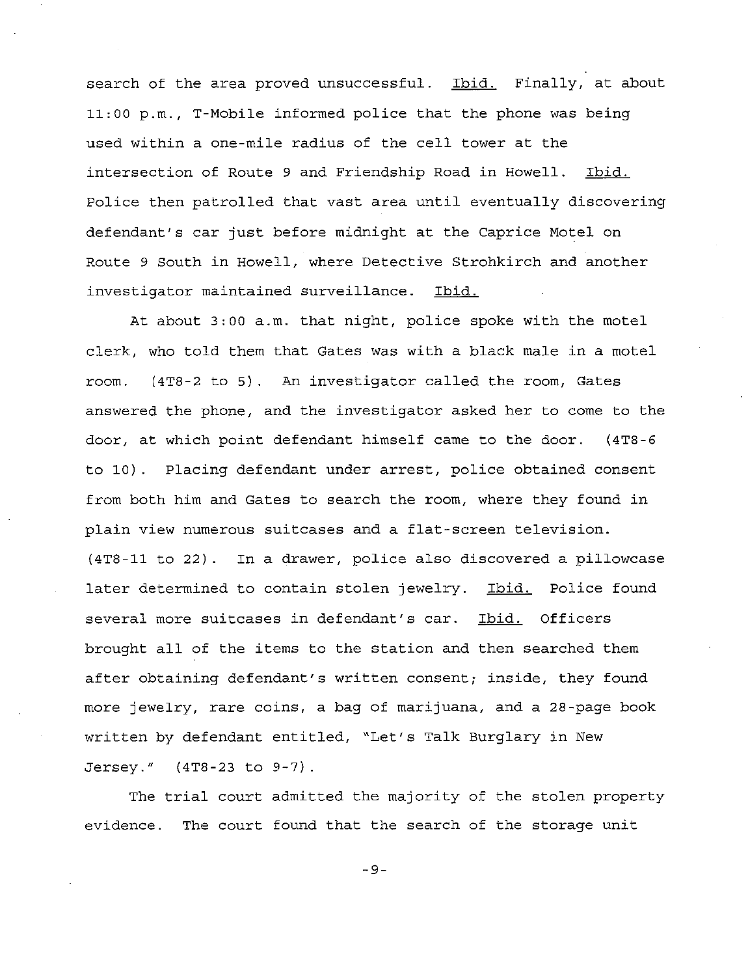search of the area proved unsuccessful. Ibid. Finally, at about 11:00 p.m., T-Mobile informed police that the phone was being used within <sup>a</sup> one-mile radius of the cell tower at the intersection of Route 9 and Friendship Road in Howell. Ibid. Police then patrolled that vast area until eventually discovering defendant's car just before midnight at the Caprice Motel on Route 9 South in Howell, where Detective Strohkirch and another investigator maintained surveillance. Ibid.

At about 3:00 a.m. that night, police spoke with the motel clerk, who told them that Gates was with a black male in a motel room. (4TB-2 to 5) An investigator called the room, Gates answered the phone, and the investigator asked her to come to the door, at which point defendant himself came to the door. (4TB-6 to 10). Placing defendant under arrest, police obtained consent from both him and Gates to search the room, where they found in plain view numerous suitcases and a flat-screen television. (4TB-11 to 22). In a drawer, police also discovered a pillowcase later determined to contain stolen jewelry. Ibid. Police found several more suitcases in defendant's car. Ibid. Officers brought all of the items to the station and then searched them after obtaining defendant's written consent; inside, they found more jewelry, rare coins, a bag of marijuana, and a 2B-page book written by defendant entitled, "Let's Talk Burglary in New Jersey." (4TB-23 to 9-7).

The trial court admitted the majority of the stolen property evidence. The court found that the search of the storage unit

-9-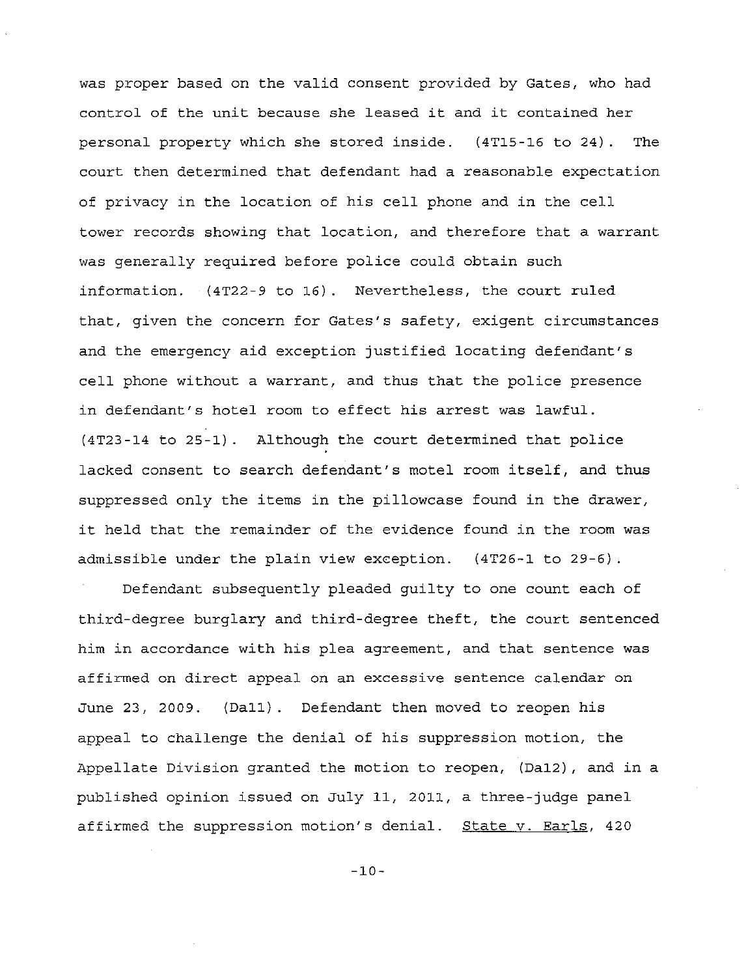was proper based on the valid consent provided by Gates, who had control of the unit because she leased it and it contained her personal property which she stored inside. (4TI5-16 to 24). The court then determined that defendant had a reasonable expectation of privacy in the location of his cell phone and in the cell tower records showing that location, and therefore that <sup>a</sup> warrant was generally required before police could obtain such information. (4T22-9 to 16). Nevertheless, the court ruled that, given the concern for Gates's safety, exigent circumstances and the emergency aid exception justified locating defendant's cell phone without <sup>a</sup> warrant, and thus that the police presence in defendant's hotel room to effect his arrest was lawful. (4T23-14 to 25-1). Although the court determined that police lacked consent to search defendant's motel room itself, and thus suppressed only the items in the pillowcase found in the drawer, it held that the remainder of the evidence found in the room was admissible under the plain view exception. (4T26-1 to 29-6).

Defendant subsequently pleaded guilty to one count each of third-degree burglary and third-degree theft, the court sentenced him in accordance with his plea agreement, and that sentence was affirmed on direct appeal on an excessive sentence calendar on June 23, 2009. (Dall). Defendant then moved to reopen his appeal to challenge the denial of his suppression motion, the Appellate Division granted the motion to reopen, (DaI2), and in a published opinion issued on July 11, 2011, a three-judge panel affirmed the suppression motion's denial. State v. Earls, 420

 $-10-$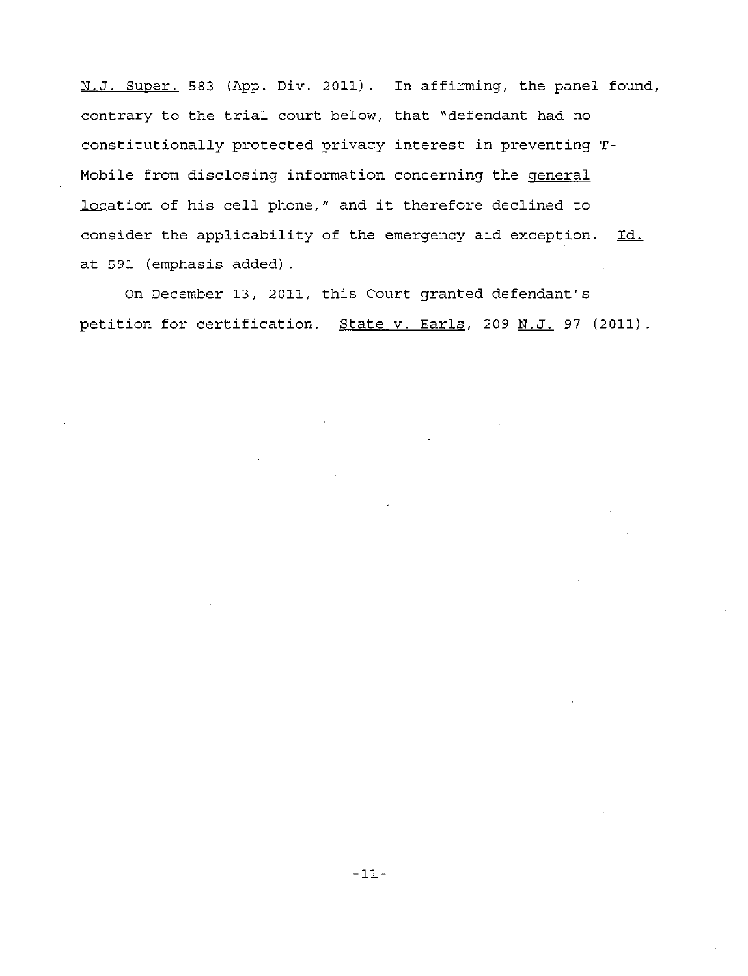N.J. Super. 583 (App. Div. 2011). In affirming, the panel found, contrary to the trial court below, that "defendant had no constitutionally protected privacy interest in preventing T-Mobile from disclosing information concerning the general location of his cell phone," and it therefore declined to consider the applicability of the emergency aid exception. Id. at 591 (emphasis added) .

On December 13, 2011, this Court granted defendant's petition for certification. State v. Earls, 209 N.J. 97 (2011).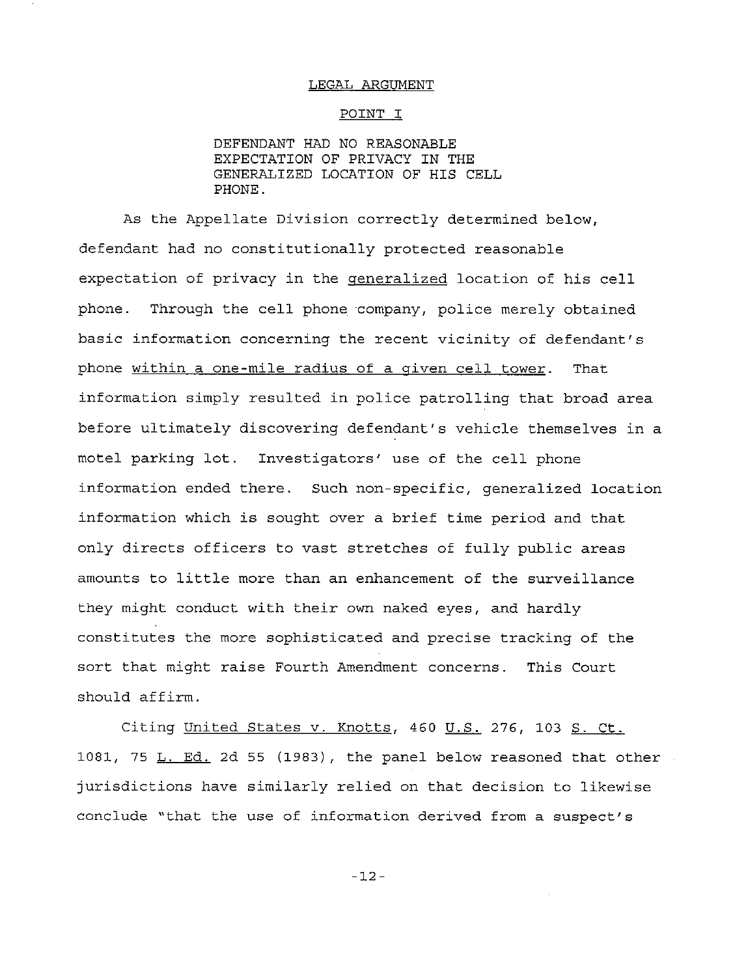#### LEGAL ARGUMENT

### POINT I

DEFENDANT HAD NO REASONABLE EXPECTATION OF PRIVACY IN THE GENERALIZED LOCATION OF HIS CELL PHONE.

As the Appellate Division correctly determined below, defendant had no constitutionally protected reasonable expectation of privacy in the generalized location of his cell phone. Through the cell phone company, police merely obtained basic information concerning the recent vicinity of defendant's phone within <sup>a</sup> one-mile radius of <sup>a</sup> given cell tower. That information simply resulted in police patrolling that broad area before ultimately discovering defendant's vehicle themselves in a motel parking lot. Investigators' use of the cell phone information ended there. Such non-specific, generalized location information which is sought over <sup>a</sup> brief time period and that only directs officers to vast stretches of fully public areas amounts to little more than an enhancement of the surveillance they might conduct with their own naked eyes, and hardly constitutes the more sophisticated and precise tracking of the sort that might raise Fourth Amendment concerns. This Court should affirm.

Citing United States v. Knotts, 460 U.S. 276, 103 S. Ct. 1081, 75 **L.** Ed. 2d 55 (1983), the panel below reasoned that other jurisdictions have similarly relied on that decision to likewise conclude "that the use of information derived from a suspect's

-12-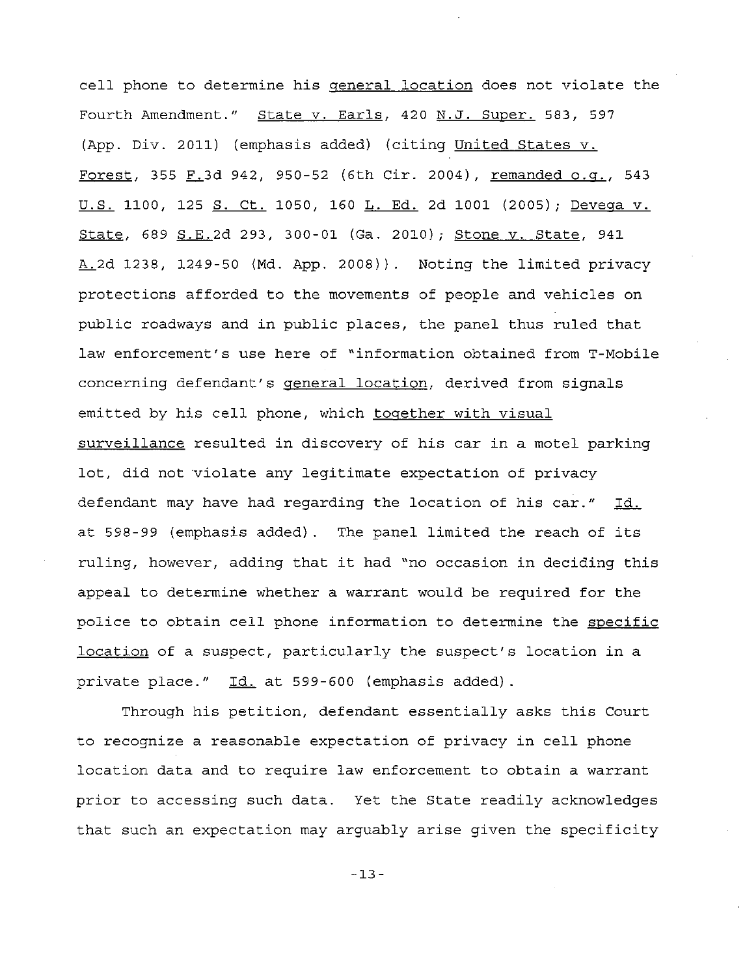cell phone to determine his general location does not violate the Fourth Amendment." State v. Earls, 420 N.J. Super. 583, 597 (App. Div. 2011) (emphasis added) (citing United States v. Forest, 355  $F.3d$  942, 950-52 (6th Cir. 2004), remanded o.g., 543 U.S. 1100, 125 S. Ct. 1050, 160 L. Ed. 2d 1001 (2005); Devega v. State, 689 S.E.2d 293, 300-01 (Ga. 2010); Stone v. State, 941  $A.2d$  1238, 1249-50 (Md. App. 2008)). Noting the limited privacy protections afforded to the movements of people and vehicles on public roadways and in public places, the panel thus ruled that law enforcement's use here of "information obtained from T-Mobile concerning defendant's general location, derived from signals emitted by his cell phone, which together with visual surveillance resulted in discovery of his car in a motel parking lot, did not 'violate any legitimate expectation of privacy defendant may have had regarding the location of his car." Id. at 598-99 (emphasis added). The panel limited the reach of its ruling, however, adding that it had "no occasion in deciding this appeal to determine whether a warrant would be required for the police to obtain cell phone information to determine the specific location of <sup>a</sup> suspect, particularly the suspect's location in <sup>a</sup> private place." Id. at 599-600 (emphasis added).

Through his petition, defendant essentially asks this Court to recognize <sup>a</sup> reasonable expectation of privacy in cell phone location data and to require law enforcement to obtain a warrant prior to accessing such data. Yet the State readily acknowledges that such an expectation may arguably arise given the specificity

-13-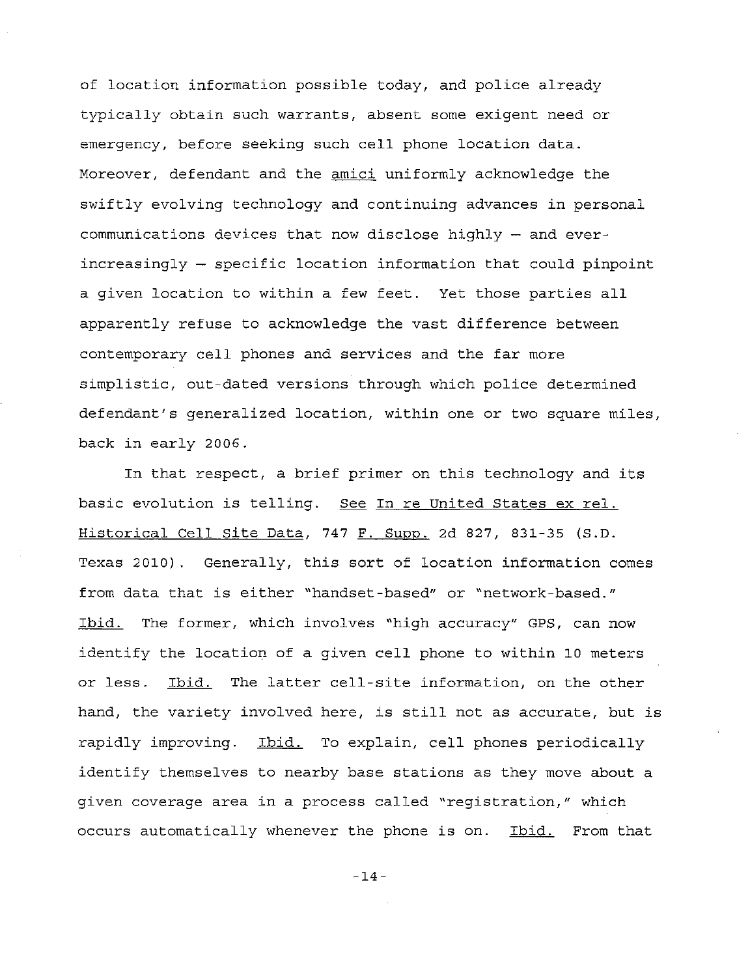of location information possible today, and police already typically obtain such warrants, absent some exigent need or emergency, before seeking such cell phone location data. Moreover, defendant and the amici uniformly acknowledge the swiftly evolving technology and continuing advances in personal communications devices that now disclose highly - and everincreasingly - specific location information that could pinpoint <sup>a</sup> given location to within <sup>a</sup> few feet. Yet those parties all apparently refuse to acknowledge the vast difference between contemporary cell phones and services and the far more simplistic, out-dated versions through which police determined defendant's generalized location, within one or two square miles, back in early 2006.

In that respect, <sup>a</sup> brief primer on this technology and its basic evolution is telling. See In re United States ex reI. Historical Cell Site Data, 747 F. Supp. 2d 827, 831-35 (S.D. Texas 2010). Generally, this sort of location information comes from data that is either "handset-based" or "network-based." Ibid. The former, which involves "high accuracy" GPS, can now identify the location of <sup>a</sup> given cell phone to within 10 meters or less. Ibid. The latter cell-site information, on the other hand, the variety involved here, is still not as accurate, but is rapidly improving. Ibid. To explain, cell phones periodically identify themselves to nearby base stations as they move about a given coverage area in <sup>a</sup> process called "registration," which occurs automatically whenever the phone is on. Ibid. From that

-14-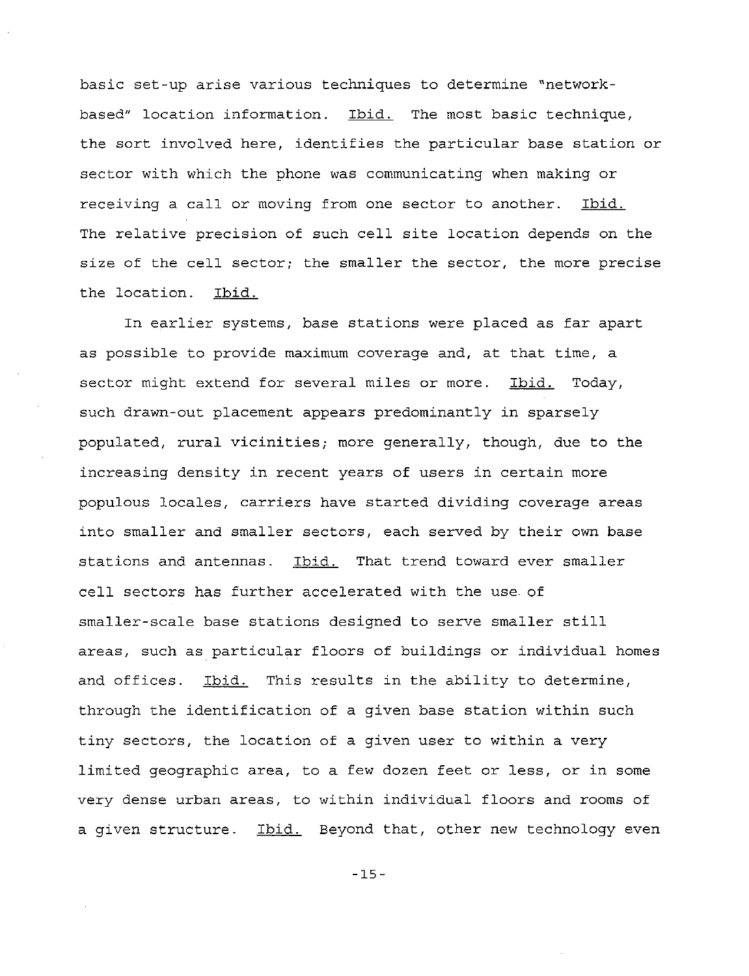basic set-up arise various techniques to determine "networkbased" location information. Ibid. The most basic technique, the sort involved here, identifies the particular base station or sector with which the phone was communicating when making or receiving a call or moving from one sector to another. Ibid. The relative precision of such cell site location depends on the size of the cell sector; the smaller the sector, the more precise the location. Ibid.

In earlier systems, base stations were placed as far apart as possible to provide maximum coverage and, at that time, <sup>a</sup> sector might extend for several miles or more. Ibid. Today, such drawn-out placement appears predominantly in sparsely populated, rural vicinities; more generally, though, due to the increasing density in recent years of users in certain more populous locales, carriers have started dividing coverage areas into smaller and smaller sectors, each served by their own base stations and antennas. Ibid. That trend toward ever smaller cell sectors has further accelerated with the use of smaller-scale base stations designed to serve smaller still areas, such as particular floors of buildings or individual homes and offices. Ibid. This results in the ability to determine, through the identification of <sup>a</sup> given base station within such tiny sectors, the location of a given user to within a very limited geographic area, to a few dozen feet or less, or in some very dense urban areas, to within individual floors and rooms of a given structure. Ibid. Beyond that, other new technology even

-15-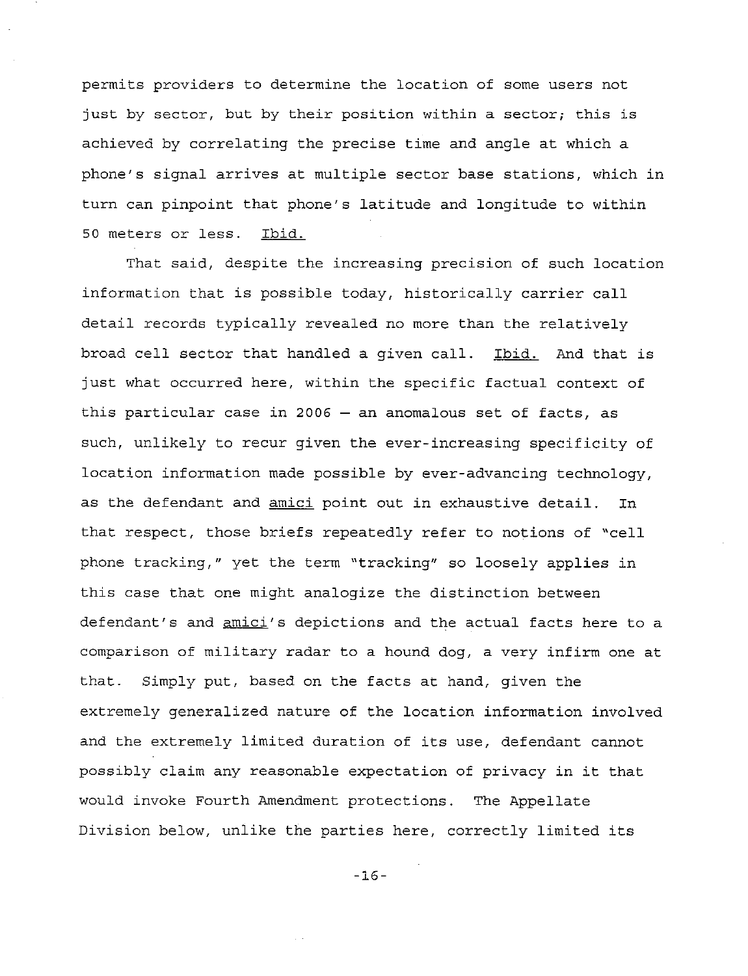permits providers to determine the location of some users not just by sector, but by their position within <sup>a</sup> sector; this is achieved by correlating the precise time and angle at which <sup>a</sup> phone's signal arrives at multiple sector base stations, which in turn can pinpoint that phone's latitude and longitude to within 50 meters or less. Ibid.

That said, despite the increasing precision of such location information that is possible today, historically carrier call detail records typically revealed no more than the relatively broad cell sector that handled <sup>a</sup> given call. Ibid. And that is just what occurred here, within the specific factual context of this particular case in 2006  $-$  an anomalous set of facts, as such, unlikely to recur given the ever-increasing specificity of location information made possible by ever-advancing technology, as the defendant and amici point out in exhaustive detail. In that respect, those briefs repeatedly refer to notions of "cell phone tracking," yet the term "tracking" so loosely applies in this case that one might analogize the distinction between defendant's and amici's depictions and the actual facts here to a comparison of military radar to <sup>a</sup> hound dog, <sup>a</sup> very infirm one at that. Simply put, based on the facts at hand, given the extremely generalized nature of the location information involved and the extremely limited duration of its use, defendant cannot possibly claim any reasonable expectation of privacy in it that would invoke Fourth Amendment protections. The Appellate Division below, unlike the parties here, correctly limited its

-16-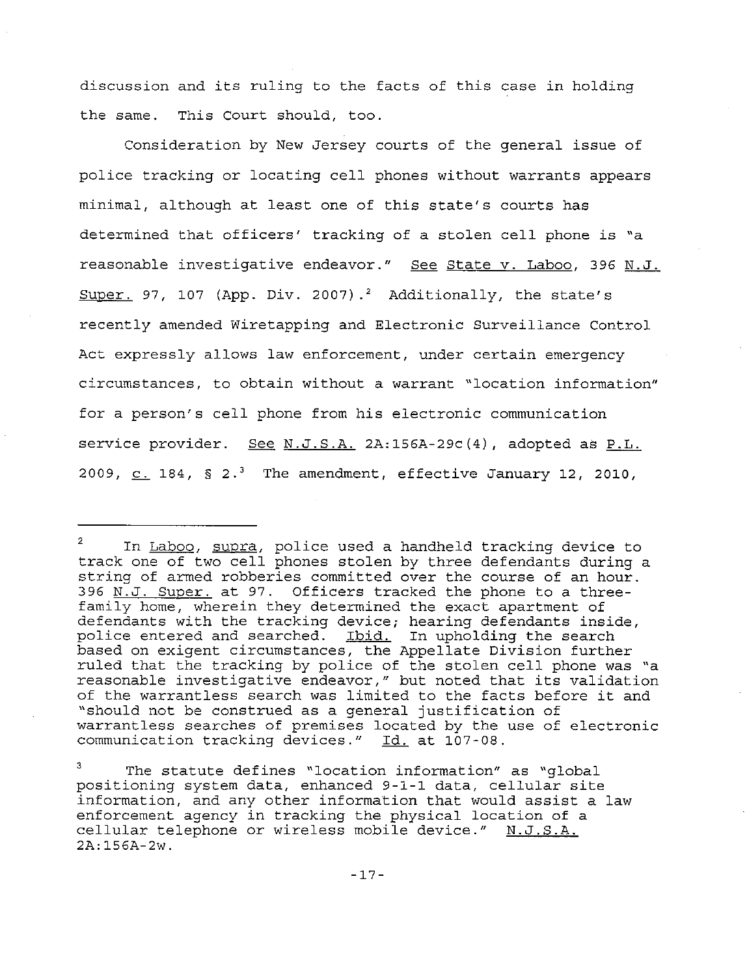discussion and its ruling to the facts of this case in holding the same. This Court should, too.

Consideration by New Jersey courts of the general issue of police tracking or locating cell phones without warrants appears minimal, although at least one of this state's courts has determined that officers' tracking of <sup>a</sup> stolen cell phone is "a reasonable investigative endeavor." See State v. Laboo, 396 N.J. Super. 97, 107 (App. Div. 2007).<sup>2</sup> Additionally, the state's recently amended Wiretapping and Electronic Surveillance Control Act expressly allows law enforcement, under certain emergency circumstances, to obtain without a warrant "location information" for <sup>a</sup> person's cell phone from his electronic communication service provider. See N.J.S.A. 2A:156A-29c(4), adopted as P.L. 2009,  $C. 184$ ,  $S. 2.3$  The amendment, effective January 12, 2010,

2 In Laboo, supra, police used a handheld tracking device to track one of two cell phones stolen by three defendants during <sup>a</sup> string of armed robberies committed over the course of an hour. 396 N.J. Super. at 97. Officers tracked the phone to a threefamily home, wherein they determined the exact apartment of defendants with the tracking device; hearing defendants inside, police entered and searched. <u>Ibid.</u> In upholding the search based on exigent circumstances, the Appellate Division further ruled that the tracking by police of the stolen cell phone was "a reasonable investigative endeavor," but noted that its validation of the warrantless search was limited to the facts before it and "should not be construed as <sup>a</sup> general justification of warrantless searches of premises located by the use of electronic communication tracking devices." Id. at 107-08.

3 The statute defines "location information" as "global positioning system data, enhanced 9-1-1 data, cellular site information, and any other information that would assist <sup>a</sup> law enforcement agency in tracking the physical location of a cellular telephone or wireless mobile device." N.J.S.A. 2A:156A-2w.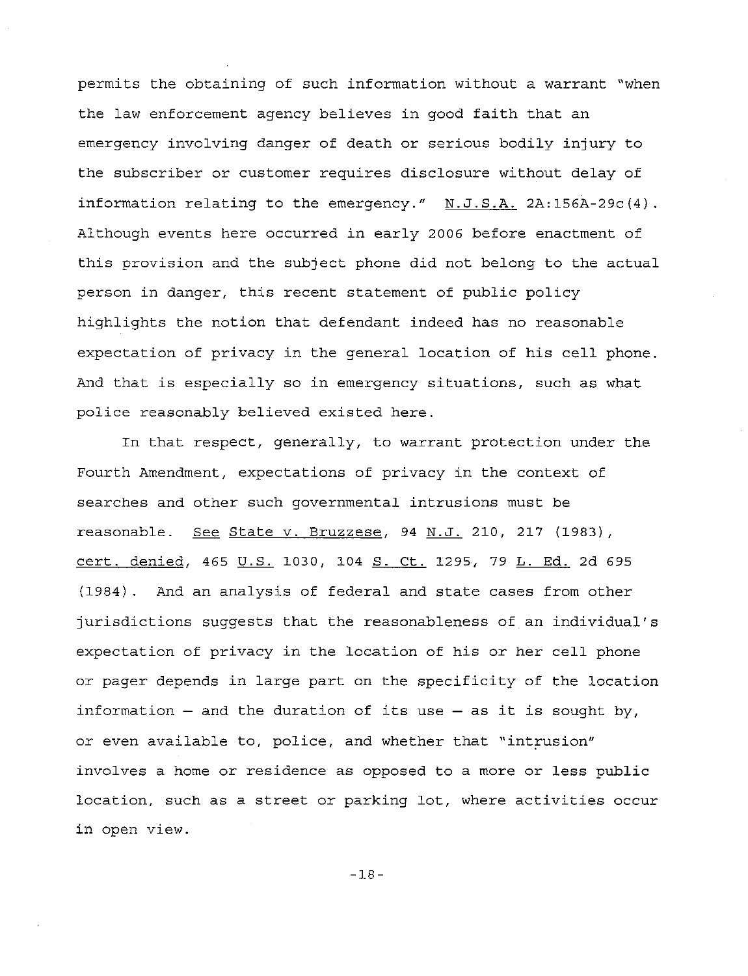permits the obtaining of such information without a warrant "when the law enforcement agency believes in good faith that an emergency involving danger of death or serious bodily injury to the subscriber or customer requires disclosure without delay of information relating to the emergency." N.J.S.A. 2A:156A-29c(4). Although events here occurred in early 2006 before enactment of this provision and the subject phone did not belong to the actual person in danger, this recent statement of public policy highlights the notion that defendant indeed has no reasonable expectation of privacy in the general location of his cell phone. And that is especially so in emergency situations, such as what police reasonably believed existed here.

In that respect, generally, to warrant protection under the Fourth Amendment, expectations of privacy in the context of searches and other such governmental intrusions must be reasonable. See State v. Bruzzese, 94 N.J. 210, 217 (1983), cert. denied, 465 U.S. 1030, 104 S. Ct. 1295, 79 L. Ed. 2d 695 (1984). And an analysis of federal and state cases from other jurisdictions suggests that the reasonableness of an individual's expectation of privacy in the location of his or her cell phone or pager depends in large part on the specificity of the location information  $-$  and the duration of its use  $-$  as it is sought by, or even available to, police, and whether that "intrusion" involves a home or residence as opposed to a more or less public location, such as <sup>a</sup> street or parking lot, where activities occur in open view.

-18-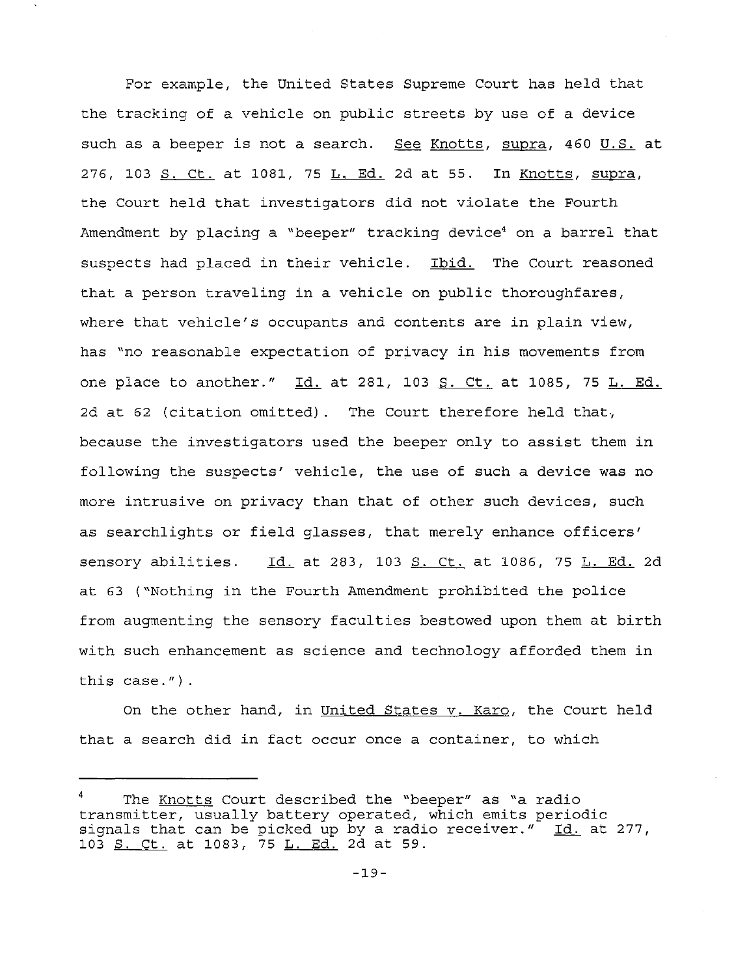For example, the United States Supreme Court has held that the tracking of <sup>a</sup> vehicle on public streets by use of <sup>a</sup> device such as a beeper is not a search. See Knotts, supra, 460 U.S. at 276, 103 S. Ct. at 1081, <sup>75</sup> L. Ed. 2d at 55. In Knotts, supra, the Court held that investigators did not violate the Fourth Amendment by placing a "beeper" tracking device<sup>4</sup> on a barrel that suspects had placed in their vehicle. Ibid. The Court reasoned that a person traveling in a vehicle on public thoroughfares, where that vehicle's occupants and contents are in plain view, has "no reasonable expectation of privacy in his movements from one place to another." Id. at 281, 103 S. Ct. at 1085, 75 L. Ed. 2d at <sup>62</sup> (citation omitted). The Court therefore held that, because the investigators used the beeper only to assist them in following the suspects' vehicle, the use of such a device was no more intrusive on privacy than that of other such devices, such as searchlights or field glasses, that merely enhance officers' sensory abilities. Id. at 283, 103 S. Ct. at 1086, 75 L. Ed. 2d at <sup>63</sup> ("Nothing in the Fourth Amendment prohibited the police from augmenting the sensory faculties bestowed upon them at birth with such enhancement as science and technology afforded them in this case.") .

On the other hand, in United States v. Karo, the Court held that a search did in fact occur once a container, to which

The Knotts Court described the "beeper" as "a radio transmitter, usually battery operated, which emits periodic erdinamized , abddii, buccer, operated, miren emics performed . 277, 103 S. Ct. at 1083, 75 L. Ed. 2d at 59.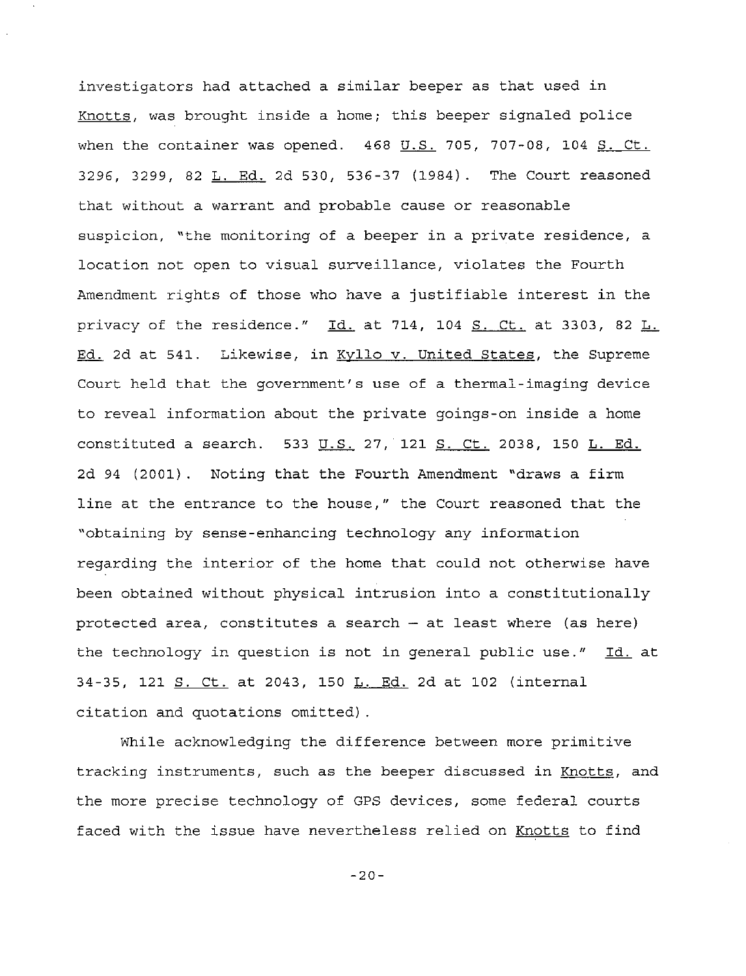investigators had attached <sup>a</sup> similar beeper as that used in Knotts, was brought inside <sup>a</sup> home; this beeper signaled police when the container was opened.  $468$  U.S. 705, 707-08, 104 S. Ct. 3296, 3299, 82 L. Ed. 2d 530, 536-37 (1984). The Court reasoned that without a warrant and probable cause or reasonable suspicion, "the monitoring of a beeper in a private residence, a location not open to visual surveillance, violates the Fourth Amendment rights of those who have <sup>a</sup> justifiable interest in the privacy of the residence."  $\underline{Id}$  at 714, 104  $\underline{S}$ . Ct. at 3303, 82  $\underline{L}$ . Ed. 2d at 541. Likewise, in Kyllo v. United States, the Supreme Court held that the government's use of a thermal-imaging device to reveal information about the private goings-on inside a home constituted a search. 533 U.S. 27, 121 S. Ct. 2038, 150 L. Ed. 2d 94 (2001). Noting that the Fourth Amendment "draws a firm line at the entrance to the house," the Court reasoned that the "obtaining by sense-enhancing technology any information regarding the interior of the home that could not otherwise have been obtained without physical intrusion into a constitutionally protected area, constitutes a search  $-$  at least where (as here) the technology in question is not in general public use." Id. at 34-35, 121 S. Ct. at 2043, 150 L. Ed. 2d at 102 (internal citation and quotations omitted) .

While acknowledging the difference between more primitive tracking instruments, such as the beeper discussed in Knotts, and the more precise technology of GPS devices, some federal courts faced with the issue have nevertheless relied on Knotts to find

-20-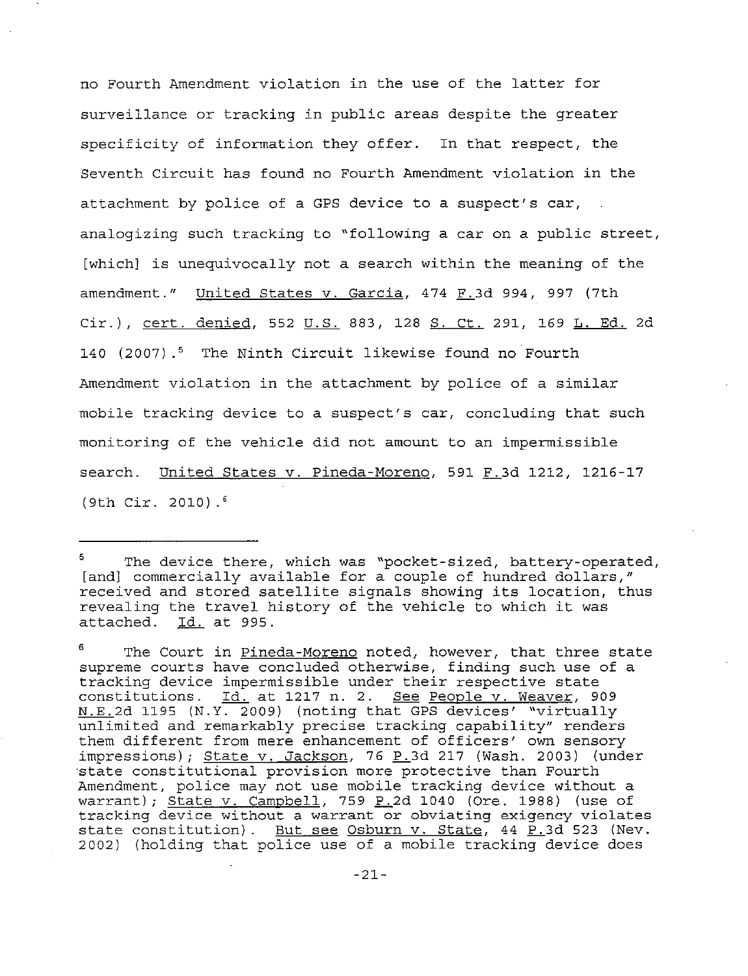no Fourth Amendment violation in the use of the latter for surveillance or tracking in public areas despite the greater specificity of information they offer. In that respect, the Seventh Circuit has found no Fourth Amendment violation in the attachment by police of a GPS device to a suspect's car, analogizing such tracking to "following <sup>a</sup> car on <sup>a</sup> public street, [which] is unequivocally not <sup>a</sup> search within the meaning of the amendment." United States  $v.$  Garcia, 474  $F.3d$  994, 997 (7th Cir.), cert. denied, 552 u.S. 883, 128 S. Ct. 291, 169 **L.** Ed. 2d 140 (2007).<sup>5</sup> The Ninth Circuit likewise found no Fourth Amendment violation in the attachment by police of a similar mobile tracking device to a suspect's car, concluding that such monitoring of the vehicle did not amount to an impermissible search. United States v. Pineda-Moreno, 591 F.3d 1212, 1216-17 (9th Cir. 2010).6

<sup>5</sup> The device there, which was "pocket-sized, battery-operated, [and] commercially available for a couple of hundred dollars," received and stored satellite signals showing its location, thus revealing the travel history of the vehicle to which it was attached. Id. at 995. Id. at 995.

<sup>6</sup> The Court in Pineda-Moreno noted, however, that three state supreme courts have concluded otherwise, finding such use of a tracking device impermissible under their respective state chacking device impermissible dider eneri respective state<br>constitutions. Id. at 1217 n. 2. <u>See People v. Weaver</u>, 909 Domberowdrene. <u>Id:</u> do 1217 n. 1. <u>Boo Respress. Medica</u>, 202 unlimited and remarkably precise tracking capability" renders them different from mere enhancement of officers' own sensory impressions); State v. Jackson, 76 P.3d 217 (Wash. 2003) (under 'state constitutional provision more protective than Fourth Amendment, police may not use mobile tracking device without a warrant); State v. Campbell, 759  $P_2$ d 1040 (Ore. 1988) (use of tracking device without a warrant or obviating exigency violates state constitution). But see Osburn v. State, 44  $P.3d$  523 (Nev. 2002) (holding that police use of <sup>a</sup> mobile tracking device does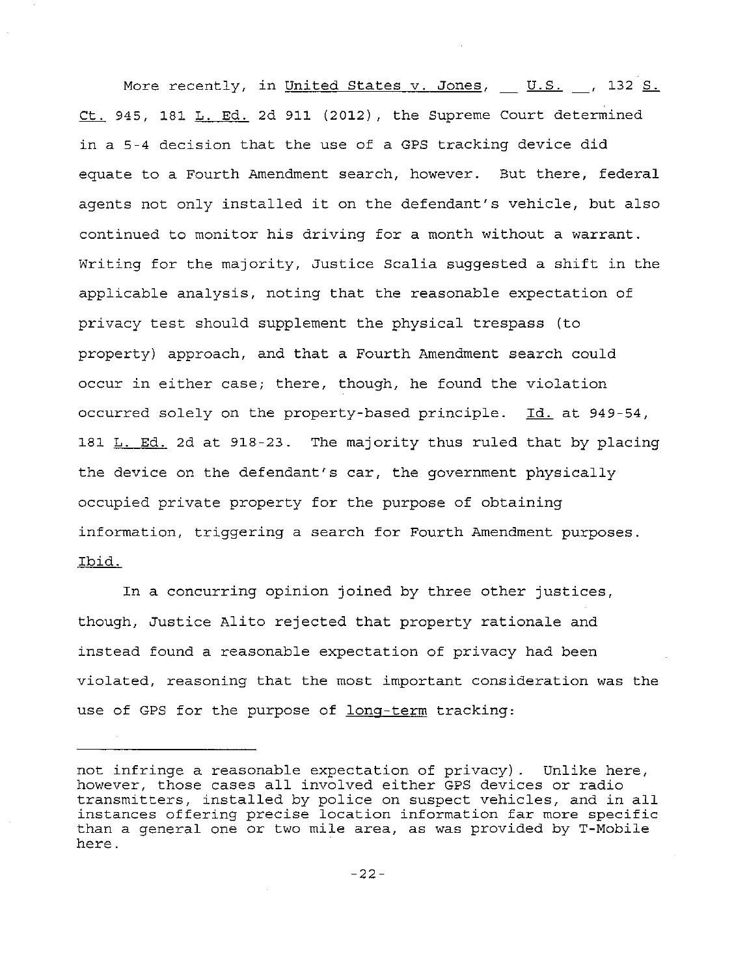More recently, in United States v. Jones,  $\underline{\mathsf{U.S.}}$ , 132 S. Ct. 945, 181 L. Ed. 2d 911 (2012), the Supreme Court determined in <sup>a</sup> 5-4 decision that the use of <sup>a</sup> GPS tracking device did equate to a Fourth Amendment search, however. But there, federal agents not only installed it on the defendant's vehicle, but also continued to monitor his driving for a month without a warrant. Writing for the majority, Justice Scalia suggested <sup>a</sup> shift in the applicable analysis, noting that the reasonable expectation of privacy test should supplement the physical trespass (to property) approach, and that <sup>a</sup> Fourth Amendment search CQuld occur in either case; there, though, he found the violation occurred solely on the property-based principle. Id. at 949-54, 181 L. Ed. 2d at 918-23. The majority thus ruled that by placing the device on the defendant's car, the government physically occupied private property for the purpose of obtaining information, triggering a search for Fourth Amendment purposes. Ibid.

In <sup>a</sup> concurring opinion joined by three other justices, though, Justice Alito rejected that property rationale and instead found a reasonable expectation of privacy had been violated, reasoning that the most important consideration was the use of GPS for the purpose of long-term tracking:

not infringe a reasonable expectation of privacy). Unlike here, however, those cases all involved either GPS devices or radio transmitters, installed by police on suspect vehicles, and in all instances offering precise location information far more specific than a general one or two mile area, as was provided by T-Mobile here.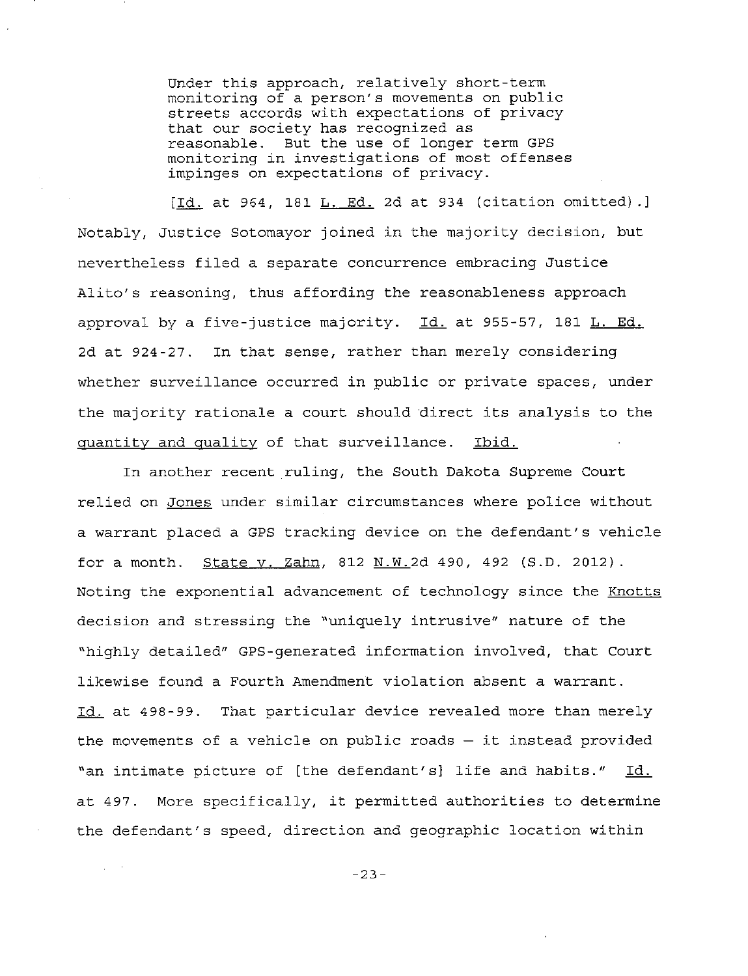Under this approach, relatively short-term monitoring of a person's movements on public streets accords with expectations of privacy that our society has recognized as reasonable. But the use of longer term GPS monitoring in investigations of most offenses impinges on expectations of privacy.

[Id. at 964, 181 L. Ed. 2d at <sup>934</sup> (citation omitted).J Notably, Justice Sotomayor joined in the majority decision, but nevertheless filed <sup>a</sup> separate concurrence embracing Justice Alito's reasoning, thus affording the reasonableness approach approval by a five-justice majority. Id. at 955-57, 181 L. Ed. 2d at 924-27. In that sense, rather than merely considering whether surveillance occurred in public or private spaces, under the majority rationale <sup>a</sup> court should direct its analysis to the quantity and quality of that surveillance. Ibid.

In another recent ruling, the South Dakota Supreme Court relied on Jones under similar circumstances where police without a warrant placed a GPS tracking device on the defendant's vehicle for a month. State v. Zahn, 812 N.W.2d 490, 492 (S.D. 2012). Noting the exponential advancement of technology since the Knotts decision and stressing the "uniquely intrusive" nature of the "highly detailed" GPS-generated information involved, that Court likewise found a Fourth Amendment violation absent a warrant. Id. at 498-99. That particular device revealed more than merely the movements of a vehicle on public roads  $-$  it instead provided "an intimate picture of [the defendant's] life and habits." Id. at 497. More specifically, it permitted authorities to determine the defendant's speed, direction and geographic location within

-23-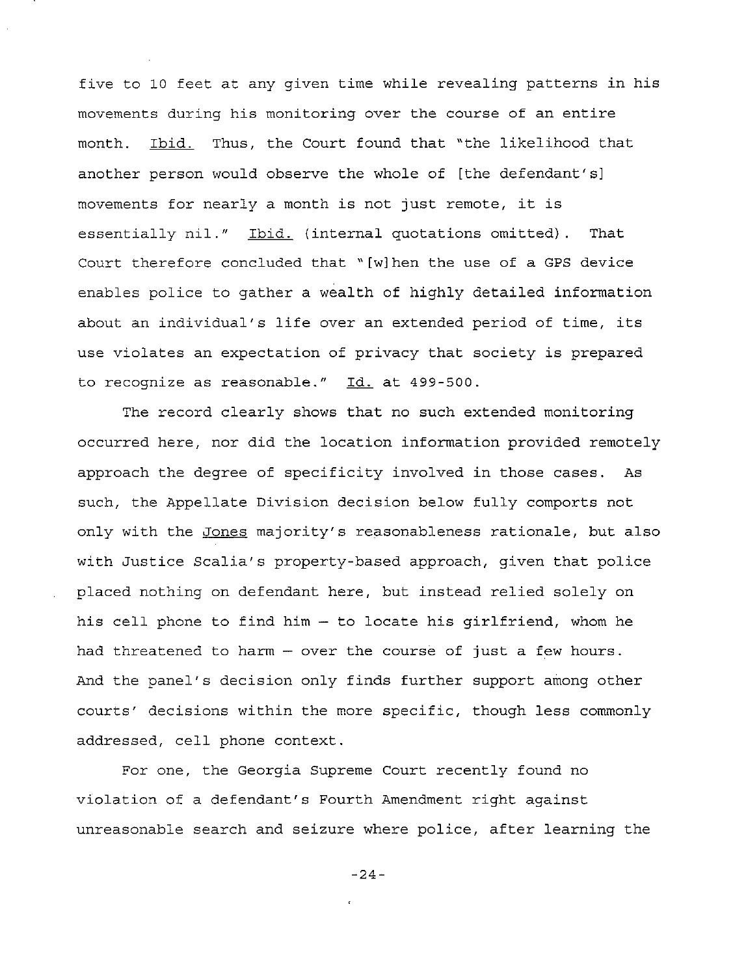five to 10 feet at any given time while revealing patterns in his movements during his monitoring over the course of an entire month. Ibid. Thus, the Court found that "the likelihood that another person would observe the whole of [the defendant's] movements for nearly <sup>a</sup> month is not just remote, it is essentially nil." Ibid. (internal quotations omitted). That Court therefore concluded that " [w]hen the use of a GPS device enables police to gather a wealth of highly detailed information about an individual's life over an extended period of time, its use violates an expectation of privacy that society is prepared to recognize as reasonable." Id. at 499-500.

The record clearly shows that no such extended monitoring occurred here, nor did the location information provided remotely approach the degree of specificity involved in those cases. As such, the Appellate Division decision below fully comports not only with the Jones majority's reasonableness rationale, but also with Justice Scalia's property-based approach, given that police placed nothing on defendant here, but instead relied solely on his cell phone to find him - to locate his girlfriend, whom he had threatened to harm  $-$  over the course of just a few hours. And the panel's decision only finds further support among other courts' decisions within the more specific, though less commonly addressed, cell phone context.

For one, the Georgia Supreme Court recently found no violation of a defendant's Fourth Amendment right against unreasonable search and seizure where police, after learning the

-24-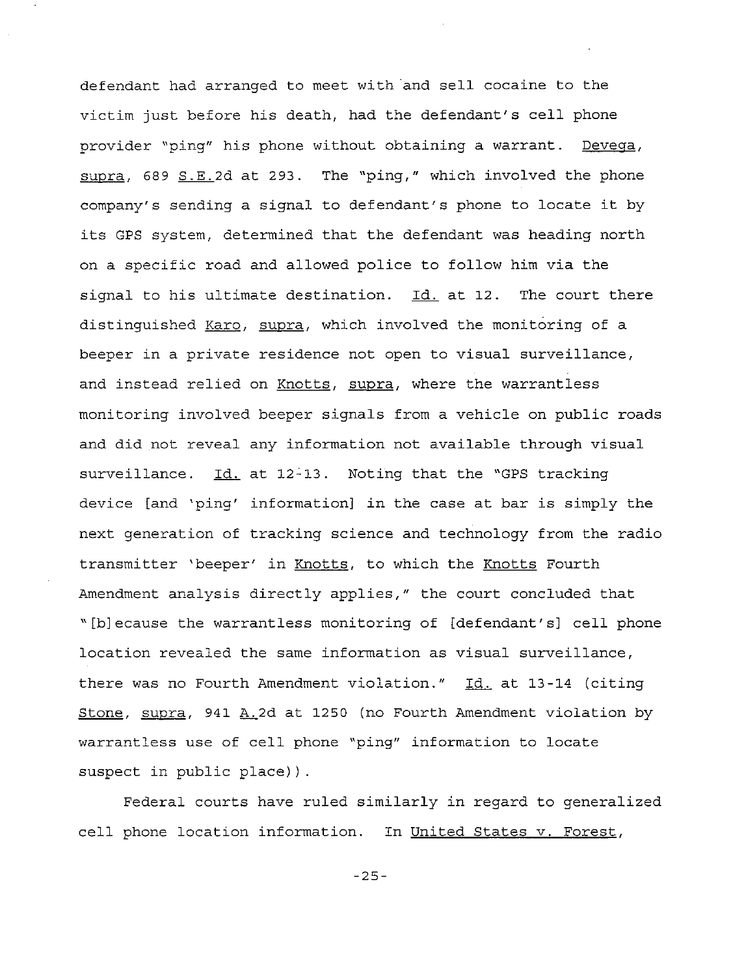defendant had arranged to meet with and sell cocaine to the victim just before his death, had the defendant's cell phone provider "ping" his phone without obtaining a warrant. Devega, supra, 689 S.E.2d at 293. The "ping," which involved the phone company's sending <sup>a</sup> signal to defendant's phone to locate it by its GPS system, determined that the defendant was heading north on a specific road and allowed police to follow him via the signal to his ultimate destination.  $Id.$  at 12. The court there distinguished Karo, supra, which involved the monitoring of a beeper in a private residence not open to visual surveillance, and instead relied on Knotts, supra, where the warrantless monitoring involved beeper signals from a vehicle on public roads and did not reveal any information not available through visual surveillance. Id. at 12-13. Noting that the "GPS tracking device [and 'ping' information] in the case at bar is simply the next generation of tracking science and technology from the radio transmitter 'beeper' in Knotts, to which the Knotts Fourth Amendment analysis directly applies," the court concluded that " [b]ecause the warrantless monitoring of [defendant's] cell phone location revealed the same information as visual surveillance, there was no Fourth Amendment violation." Id. at 13-14 (citing Stone, supra, 941 A.2d at 1250 (no Fourth Amendment violation by warrantless use of cell phone "ping" information to locate suspect in public place)).

Federal courts have ruled similarly in regard to generalized cell phone location information. In United States v. Forest,

-25-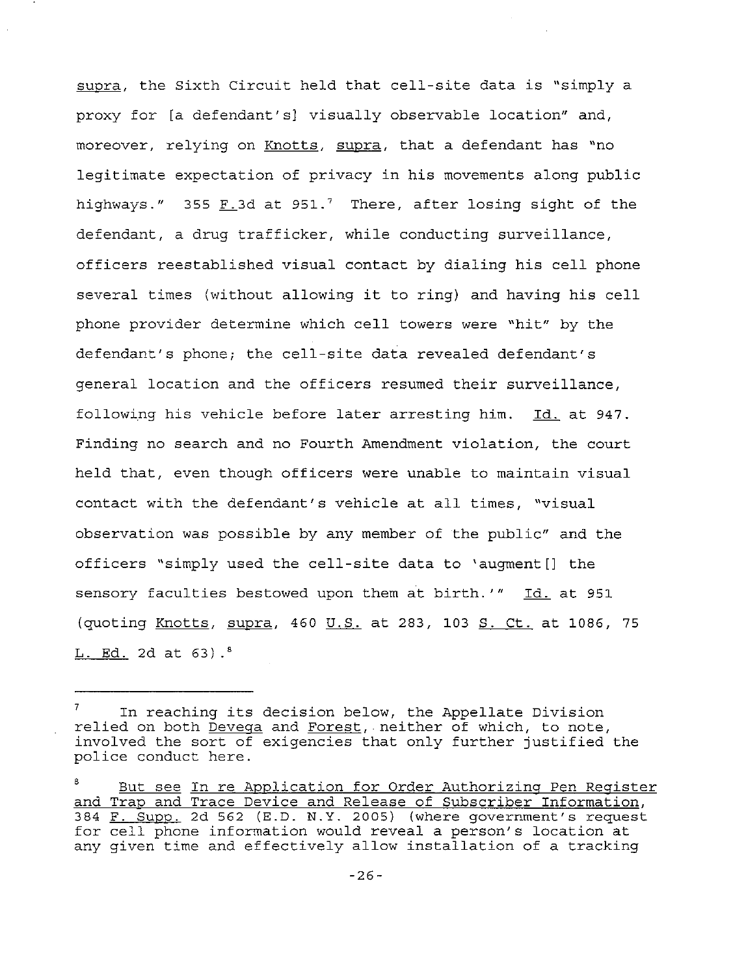supra, the Sixth Circuit held that cell-site data is "simply <sup>a</sup> proxy for [a defendant's] visually observable location" and, moreover, relying on Knotts, supra, that a defendant has "no legitimate expectation of privacy in his movements along public highways." 355  $F.3d$  at 951.<sup>7</sup> There, after losing sight of the defendant, <sup>a</sup> drug trafficker, while conducting surveillance, officers reestablished visual contact by dialing his cell phone several times (without allowing it to ring) and having his cell phone provider determine which cell towers were "hit" by the defendant's phone; the cell-site data revealed defendant's general location and the officers resumed their surveillance, following his vehicle before later arresting him. Id. at 947. Finding no search and no Fourth Amendment violation, the court held that, even though officers were unable to maintain visual contact with the defendant's vehicle at all times, "visual observation was possible by any member of the public" and the officers "simply used the cell-site data to 'augment[] the sensory faculties bestowed upon them at birth.'" Id. at <sup>951</sup> (quoting Knotts, supra, 460 U.S. at 283, 103 S. Ct. at 1086, <sup>75</sup>  $L. Ed. 2d at 63$ .

<sup>7</sup> In reaching its decision below, the Appellate Division relied on both Devega and Forest, neither of which, to note, involved the sort of exigencies that only further justified the police conduct here.

<sup>8</sup> and Trap and Trace Device and Release of Subscriber Information, 384 F. SUPP. 2d 562 (E.D. N.Y. 2005) (where government's request for <u>the dept</u> 2d 502 (1.1). N.I. 2005) (which government s requestion at any given time and effectively allow installation of <sup>a</sup> tracking But see In re Application for Order Authorizing Pen Register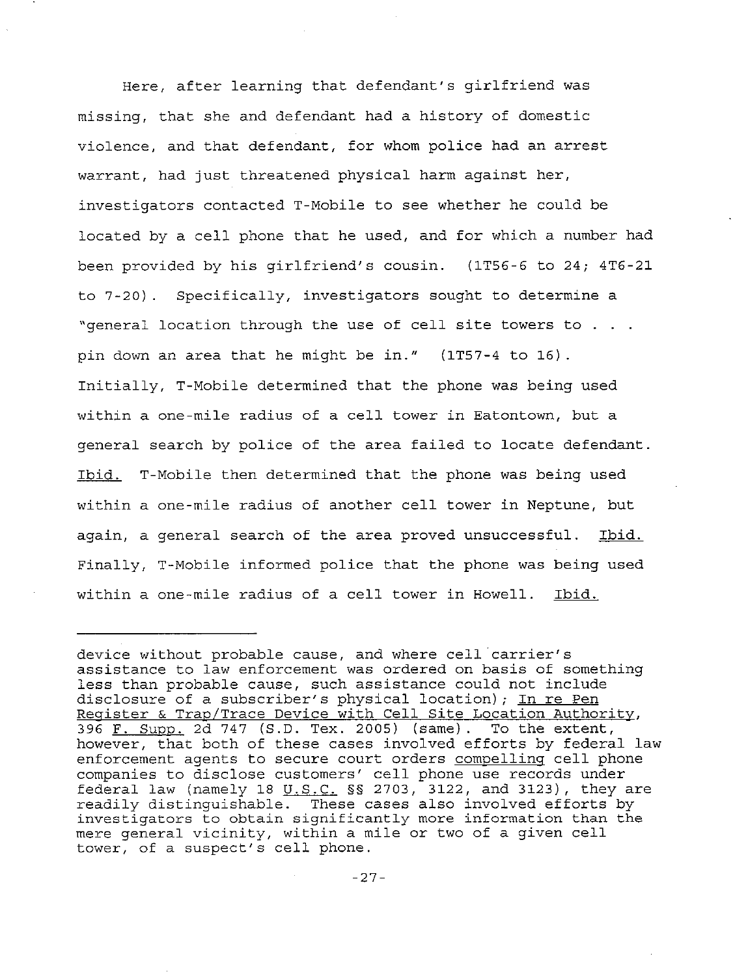Here, after learning that defendant's girlfriend was missing, that she and defendant had a history of domestic violence, and that defendant, for whom police had an arrest warrant, had just threatened physical harm against her, investigators contacted T-Mobile to see whether he could be located by <sup>a</sup> cell phone that he used, and for which <sup>a</sup> number had been provided by his girlfriend's cousin. (lT56-6 to 24; 4T6-21 to 7-20). Specifically, investigators sought to determine a "general location through the use of cell site towers to . . . pin down an area that he might be in." (lT57-4 to 16) . Initially, T-Mobile determined that the phone was being used within <sup>a</sup> one-mile radius of <sup>a</sup> cell tower in Eatontown, but <sup>a</sup> general search by police of the area failed to locate defendant. Ibid. T-Mobile then determined that the phone was being used within <sup>a</sup> one-mile radius of another cell tower in Neptune, but again, a general search of the area proved unsuccessful. Ibid. Finally, T-Mobile informed police that the phone was being used within a one-mile radius of a cell tower in Howell. Ibid.

device without probable cause, and where cell carrier's assistance to law enforcement was ordered on basis of something less than probable cause, such assistance could not include disclosure of a subscriber's physical location); In re Pen Register & Trap/Trace Device with Cell Site Location Authority, 396 F. Supp. 2d 747 (S.D. Tex. 2005) (same). To the extent, however, that both of these cases involved efforts by federal law enforcement agents to secure court orders compelling cell phone companies to disclose customers' cell phone use records under federal law (namely 18  $U.S.C.$  §§ 2703, 3122, and 3123), they are readily distinguishable. These cases also involved efforts by investigators to obtain significantly more information than the mere general vicinity, within <sup>a</sup> mile or two of <sup>a</sup> given cell tower, of <sup>a</sup> suspect's cell phone.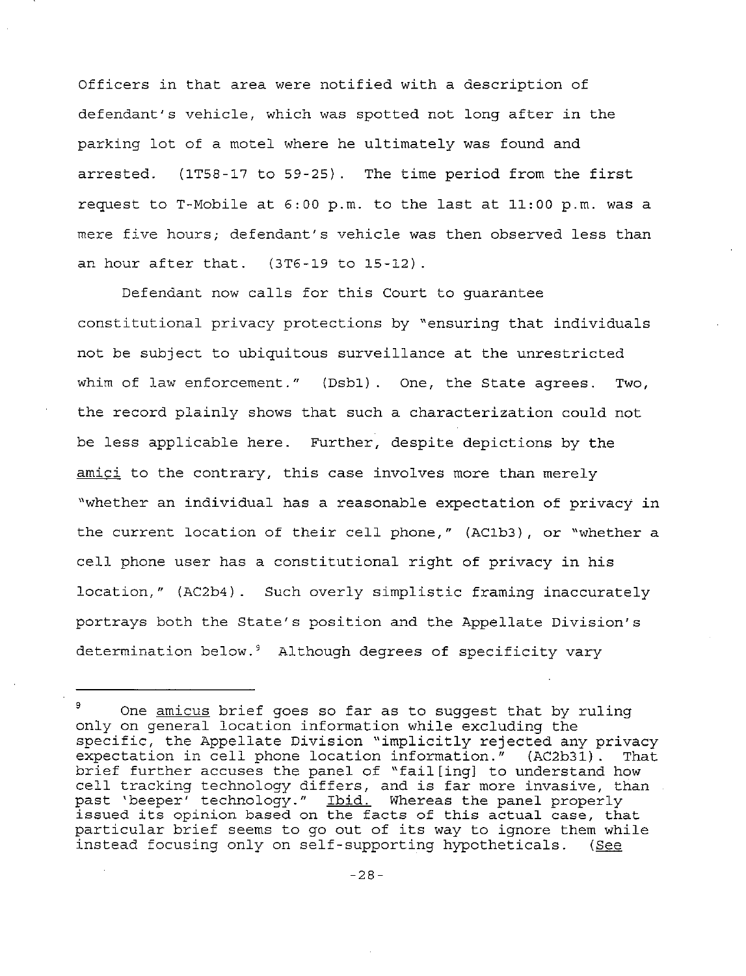Officers in that area were notified with <sup>a</sup> description of defendant's vehicle, which was spotted not long after in the parking lot of <sup>a</sup> motel where he ultimately was found and arrested. (lT58-17 to 59-25). The time period from the first request to T-Mobile at 6:00 p.m. to the last at 11:00 p.m. was <sup>a</sup> mere five hours; defendant's vehicle was then observed less than an hour after that. (3T6-19 to 15-12) .

Defendant now calls for this Court to guarantee constitutional privacy protections by "ensuring that individuals not be subject to ubiquitous surveillance at the unrestricted whim of law enforcement." (Dsb1). One, the State agrees. Two, the record plainly shows that such <sup>a</sup> characterization could not be less applicable here. Further, despite depictions by the amici to the contrary, this case involves more than merely "whether an individual has a reasonable expectation of privacy in the current location of their cell phone," (AC1b3), or "whether <sup>a</sup> cell phone user has <sup>a</sup> constitutional right of privacy in his location," (AC2b4). Such overly simplistic framing inaccurately portrays both the State's position and the Appellate Division's determination below.<sup>9</sup> Although degrees of specificity vary

<sup>9</sup> One amicus brief goes so far as to suggest that by ruling only on general location information while excluding the specific, the Appellate Division "implicitly rejected any privacy expectation in cell phone location information." (AC2b31). That brief further accuses the panel of "fail [ing] to understand how cell tracking technology differs, and is far more invasive, than past 'beeper' technology." <u>Ibid.</u> Whereas the panel properly past beeper technology. <u>Ibiu.</u> Whereas the panel properly<br>issued its opinion based on the facts of this actual case, that particular brief seems to go out of its way to ignore them while instead focusing only on self-supporting hypotheticals. (See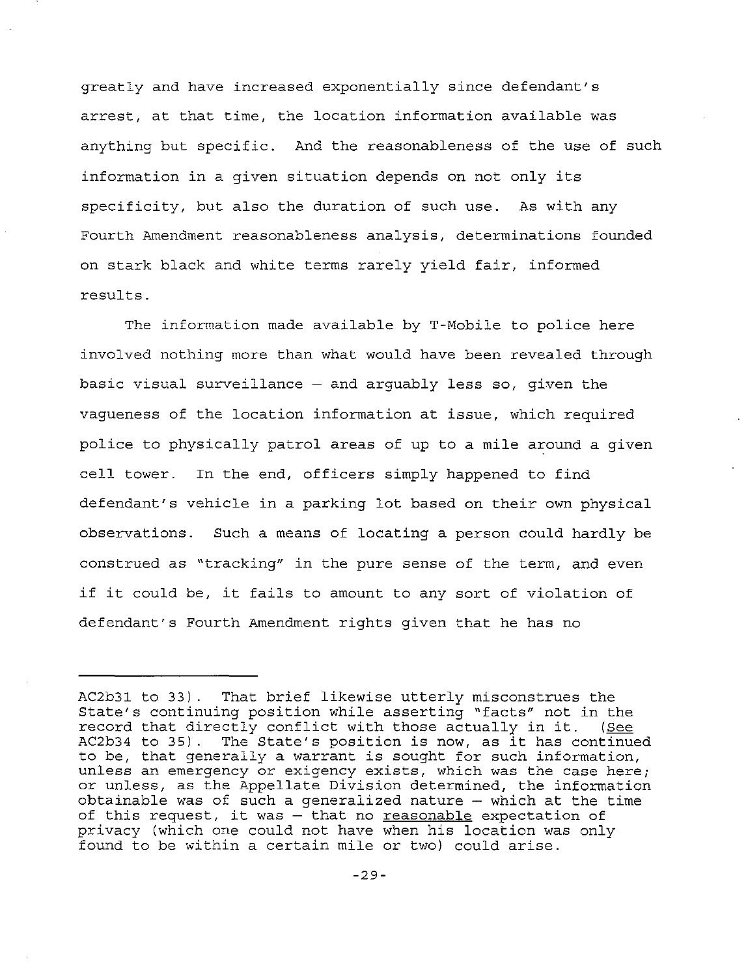greatly and have increased exponentially since defendant's arrest, at that time, the location information available was anything but specific. And the reasonableness of the use of such information in <sup>a</sup> given situation depends on not only its specificity, but also the duration of such use. As with any Fourth Amendment reasonableness analysis, determinations founded on stark black and white terms rarely yield fair, informed results.

The information made available by T-Mobile to police here involved nothing more than what would have been revealed through basic visual surveillance  $-$  and arguably less so, given the vagueness of the location information at issue, which required police to physically patrol areas of up to a mile around a given cell tower. In the end, officers simply happened to find defendant's vehicle in <sup>a</sup> parking lot based on their own physical observations. Such a means of locating a person could hardly be construed as "tracking" in the pure sense of the term, and even if it could be, it fails to amount to any sort of violation of defendant's Fourth Amendment rights given that he has no

AC2b31 to 33). That brief likewise utterly misconstrues the State's continuing position while asserting "facts" not in the record that directly conflict with those actually in it. (See AC2b34 to 35). The State's position is now, as it has continued to be, that generally <sup>a</sup> warrant is sought for such information, unless an emergency or exigency exists, which was the case here; or unless, as the Appellate Division determined, the information obtainable was of such a generalized nature  $-$  which at the time of this request, it was  $-$  that no reasonable expectation of privacy (which one could not have when his location was only found to be within <sup>a</sup> certain mile or two) could arise.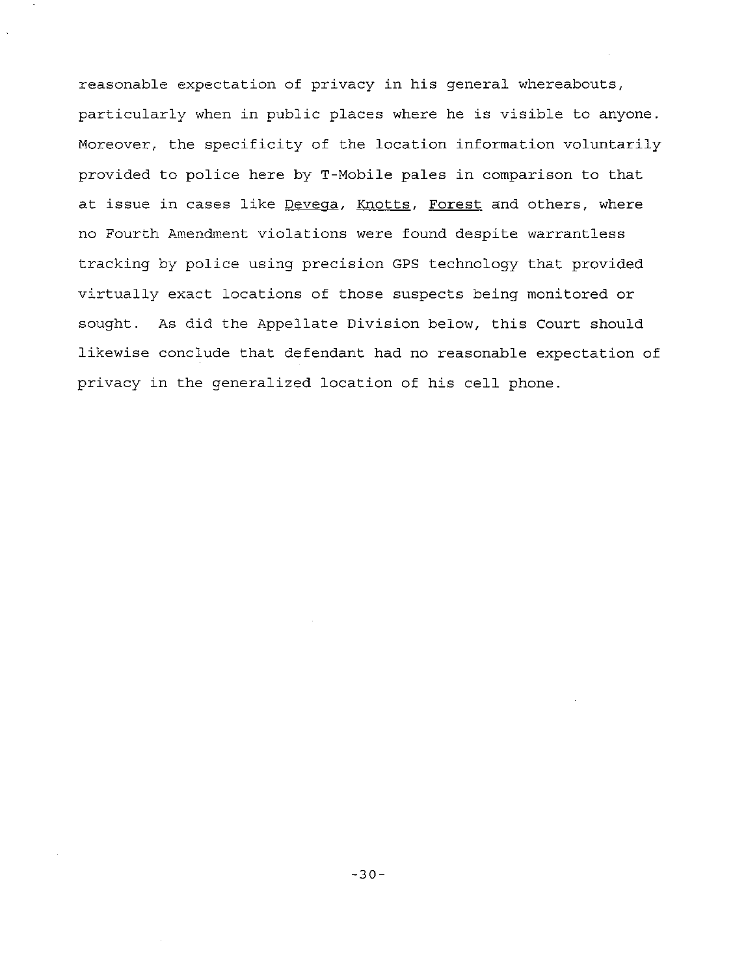reasonable expectation of privacy in his general whereabouts, particularly when in public places where he is visible to anyone. Moreover, the specificity of the location information voluntarily provided to police here by T-Mobile pales in comparison to that at issue in cases like Devega, Knotts, Forest and others, where no Fourth Amendment violations were found despite warrantless tracking by police using precision GPS technology that provided virtually exact locations of those suspects being monitored or sought. As did the Appellate Division below, this Court should likewise conclude that defendant had no reasonable expectation of privacy in the generalized location of his cell phone.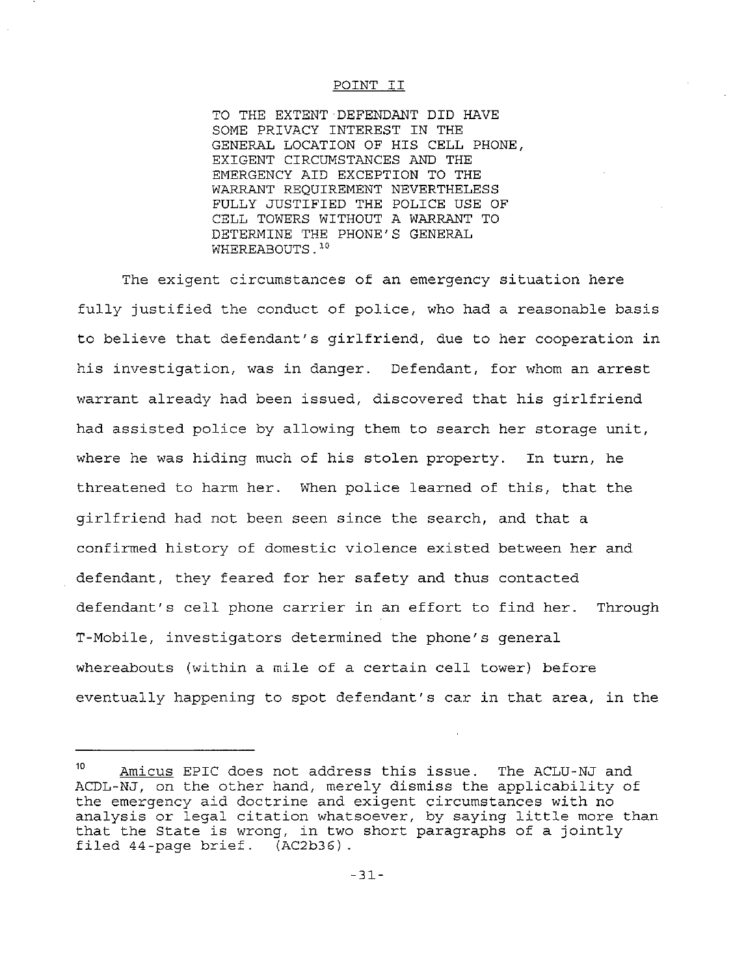#### POINT II

TO THE EXTENT DEFENDANT DID HAVE SOME PRIVACY INTEREST IN THE GENERAL LOCATION OF HIS CELL PHONE, EXIGENT CIRCUMSTANCES AND THE EMERGENCY AID EXCEPTION TO THE WARRANT REQUIREMENT NEVERTHELESS FULLY JUSTIFIED THE POLICE USE OF CELL TOWERS WITHOUT A WARRANT TO DETERMINE THE PHONE'S GENERAL WHEREABOUTS.<sup>10</sup>

The exigent circumstances of an emergency situation here fully justified the conduct of police, who had <sup>a</sup> reasonable basis to believe that defendant's girlfriend, due to her cooperation in his investigation, was in danger. Defendant, for whom an arrest warrant already had been issued, discovered that his girlfriend had assisted police by allowing them to search her storage unit, where he was hiding much of his stolen property. In turn, he threatened to harm her. When police learned of this, that the girlfriend had not been seen since the search, and that <sup>a</sup> confirmed history of domestic violence existed between her and defendant, they feared for her safety and thus contacted defendant's cell phone carrier in an effort to find her. Through T-Mobile, investigators determined the phone's general whereabouts (within <sup>a</sup> mile of <sup>a</sup> certain cell tower) before eventually happening to spot defendant's car in that area, in the

<sup>10</sup> Amicus EPIC does not address this issue. The ACLU-NJ and ACDL-NJ, on the other hand, merely dismiss the applicability of the emergency aid doctrine and exigent circumstances with no analysis or legal citation whatsoever, by saying little more than that the State is wrong, in two short paragraphs of <sup>a</sup> jointly filed 44-page brief. (AC2b36)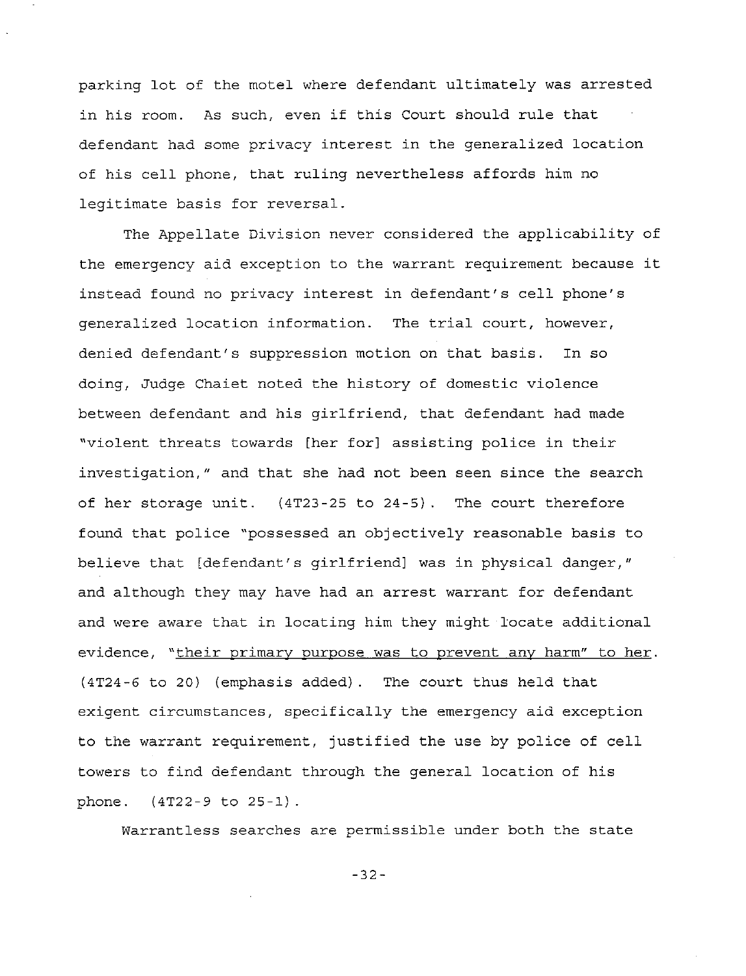parking lot of the motel where defendant ultimately was arrested in his room. As such, even if this Court should rule that defendant had some privacy interest in the generalized location of his cell phone, that ruling nevertheless affords him no legitimate basis for reversal.

The Appellate Division never considered the applicability of the emergency aid exception to the warrant requirement because it instead found no privacy interest in defendant's cell phone's generalized location information. The trial court, however, denied defendant's suppression motion on that basis. In so doing, Judge Chaiet noted the history of domestic violence between defendant and his girlfriend, that defendant had made "violent threats towards [her for] assisting police in their investigation," and that she had not been seen since the search of her storage unit. (4T23-25 to 24-5). The court therefore found that police "possessed an objectively reasonable basis to believe that [defendant's girlfriend] was in physical danger," and although they may have had an arrest warrant for defendant and were aware that in locating him they might locate additional evidence, "their primary purpose was to prevent any harm" to her. (4T24-6 to 20) (emphasis added). The court thus held that exigent circumstances, specifically the emergency aid exception to the warrant requirement, justified the use by police of cell towers to find defendant through the general location of his phone. (4T22-9 to 25-1) .

Warrantless searches are permissible under both the state

-32-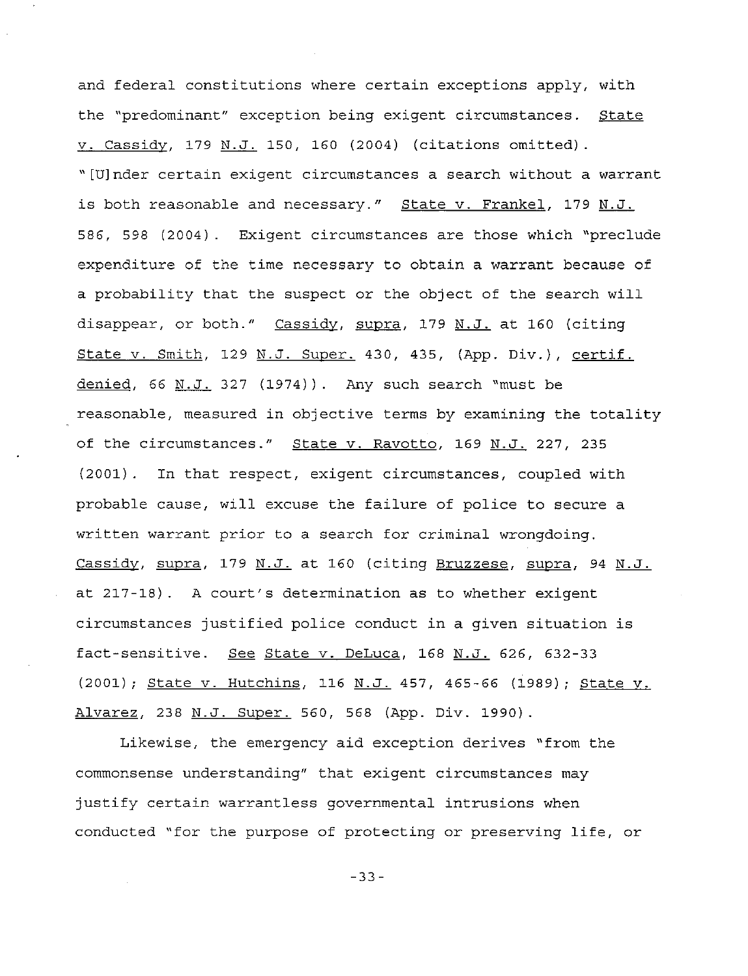and federal constitutions where certain exceptions apply, with the "predominant" exception being exigent circumstances. State v. Cassidy, 179 N.J. 150, 160 (2004) (citations omitted). "[U]nder certain exigent circumstances <sup>a</sup> search without <sup>a</sup> warrant is both reasonable and necessary." State v. Frankel, 179 N.J. 586, 598 (2004). Exigent circumstances are those which "preclude expenditure of the time necessary to obtain a warrant because of <sup>a</sup> probability that the suspect or the object of the search will disappear, or both." Cassidy, supra, 179 N.J. at 160 (citing State v. Smith, 129 N.J. Super. 430, 435, (App. Div.), certif. denied, 66 N.J. 327  $(1974)$ . Any such search "must be reasonable, measured in objective terms by examining the totality of the circumstances." State v. Ravotto, 169 N.J. 227, 235 (2001). In that respect, exigent circumstances, coupled with probable cause, will excuse the failure of police to secure <sup>a</sup> written warrant prior to <sup>a</sup> search for criminal wrongdoing. Cassidy, supra, 179 N.J. at 160 (citing Bruzzese, supra, 94 N.J. at 217-18). <sup>A</sup> court's determination as to whether exigent circumstances justified police conduct in <sup>a</sup> given situation is fact-sensitive. See State v. DeLuca, 168 N.J. 626, 632-33 (2001); State v. Hutchins, 116 N.J. 457, 465-66 (1989); State v. Alvarez, 238 N.J. Super. 560, 568 (App. Div. 1990).

Likewise, the emergency aid exception derives "from the commonsense understanding" that exigent circumstances may justify certain warrantless governmental intrusions when conducted "for the purpose of protecting or preserving life, or

-33-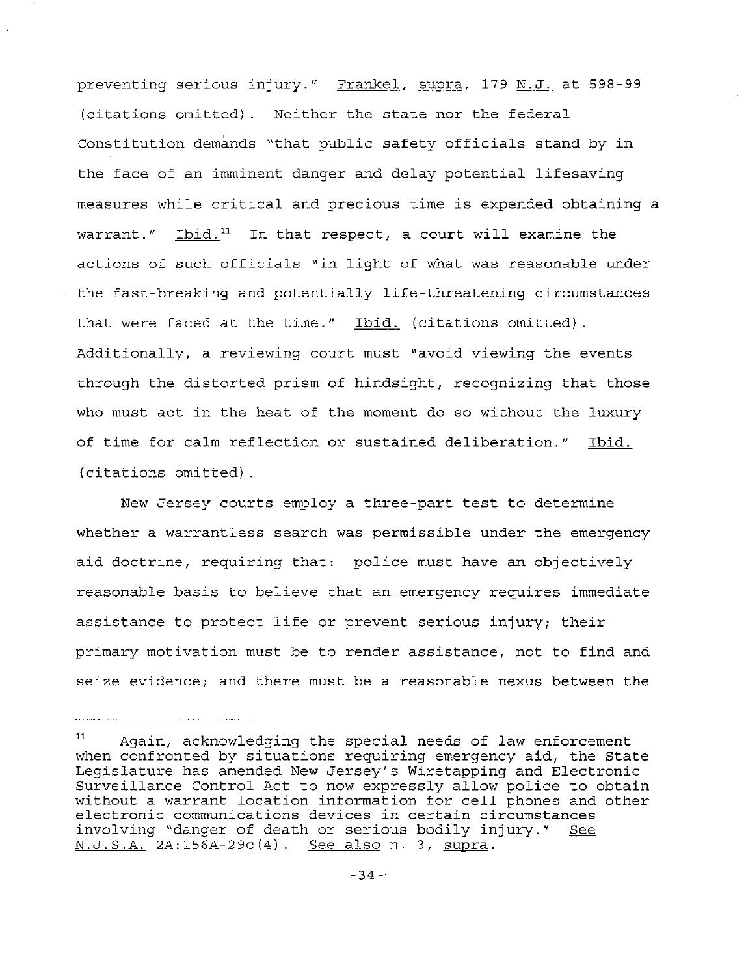preventing serious injury." Frankel, supra, 179 N.J. at 598-99 (citations omitted). Neither the state nor the federal Constitution demands "that public safety officials stand by in the face of an imminent danger and delay potential lifesaving measures while critical and precious time is expended obtaining <sup>a</sup> warrant."  $I$ bid.<sup>11</sup> In that respect, a court will examine the actions of such officials "in light of what was reasonable under the fast-breaking and potentially life-threatening circumstances that were faced at the time." Ibid. (citations omitted). Additionally, a reviewing court must "avoid viewing the events through the distorted prism of hindsight, recognizing that those who must act in the heat of the moment do so without the luxury of time for calm reflection or sustained deliberation." Ibid. (citations omitted) .

New Jersey courts employ <sup>a</sup> three-part test to determine whether a warrantless search was permissible under the emergency aid doctrine, requiring that: police must have an objectively reasonable basis to believe that an emergency requires immediate assistance to protect life or prevent serious injury; their primary motivation must be to render assistance, not to find and seize evidence; and there must be a reasonable nexus between the

<sup>11</sup> Again, acknowledging the special needs of law enforcement when confronted by situations requiring emergency aid, the State Legislature has amended New Jersey's Wiretapping and Electronic Surveillance Control Act to now expressly allow police to obtain without <sup>a</sup> warrant location information for cell phones and other **electronic communications devices in certain circumstances** involving "danger of death or serious bodily injury." See N.J.S.A. 2A:156A-29c(4). See also n. 3, supra.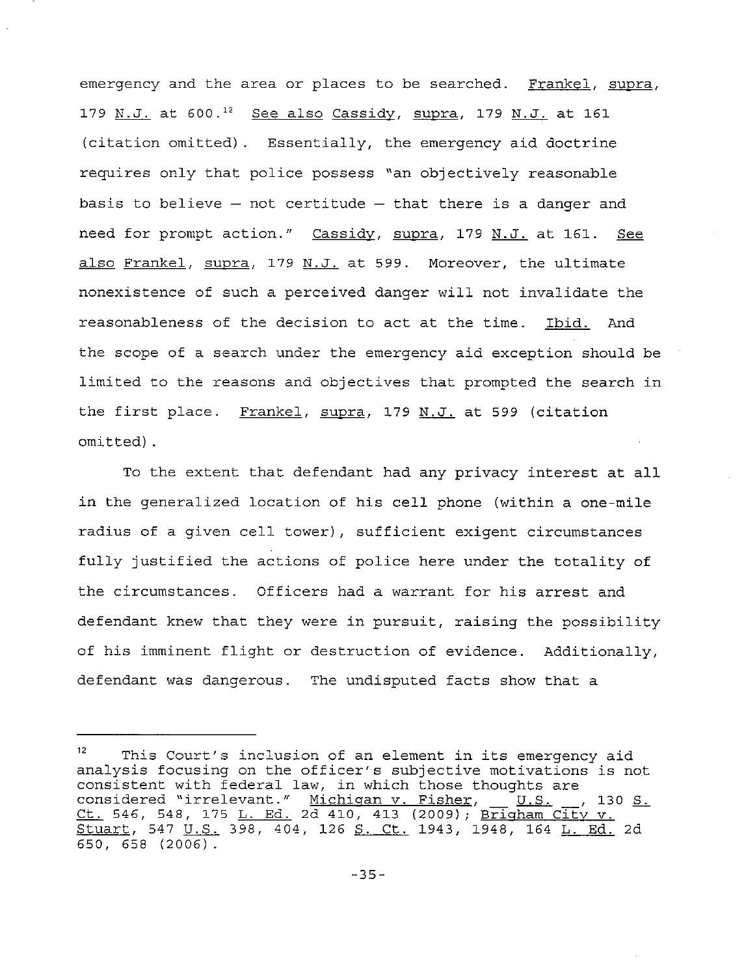emergency and the area or places to be searched. Frankel, supra, 179 N.J. at 600.<sup>12</sup> See also Cassidy, supra, 179 N.J. at 161 (citation omitted). Essentially, the emergency aid doctrine requires only that police possess "an objectively reasonable basis to believe  $-$  not certitude  $-$  that there is a danger and need for prompt action." Cassidy, supra, 179 N.J. at 161. See also Frankel, supra, 179 N.J. at 599. Moreover, the ultimate nonexistence of such a perceived danger will not invalidate the reasonableness of the decision to act at the time. Ibid. And the scope of a search under the emergency aid exception should be limited to the reasons and objectives that prompted the search in the first place. <u>Frankel, supra,</u> 179 <u>N.J.</u> at 599 (citation omitted) .

To the extent that defendant had any privacy interest at all in the generalized location of his cell phone (within <sup>a</sup> one-mile radius of <sup>a</sup> given cell tower), sufficient exigent circumstances fully justified the actions of police here under the totality of the circumstances. Officers had <sup>a</sup> warrant for his arrest and defendant knew that they were in pursuit, raising the possibility of his imminent flight or destruction of evidence. Additionally, defendant was dangerous. The undisputed facts show that <sup>a</sup>

<sup>12</sup> This Court's inclusion of an element in its emergency aid analysis focusing on the officer's subjective motivations is not consistent with federal law, in which those thoughts are consistent with reacturing, in which those choughts are<br>considered "irrelevant." <u>Michigan v. Fisher, JU.S. J.,</u> 130 considered ifferevanc. <u>Alenigan v. 11shc.</u>, <u>- 9.9. .</u>, 1.<br><u>Ct.</u> 546, 548, 175 <u>L. Ed.</u> 2d 410, 413 (2009); <u>Brigham City v</u>. Stuart, 547 U.S. 398, 404, 126 S. Ct. 1943, 1948, 164 L. Ed. 2d 650, 658 (2006).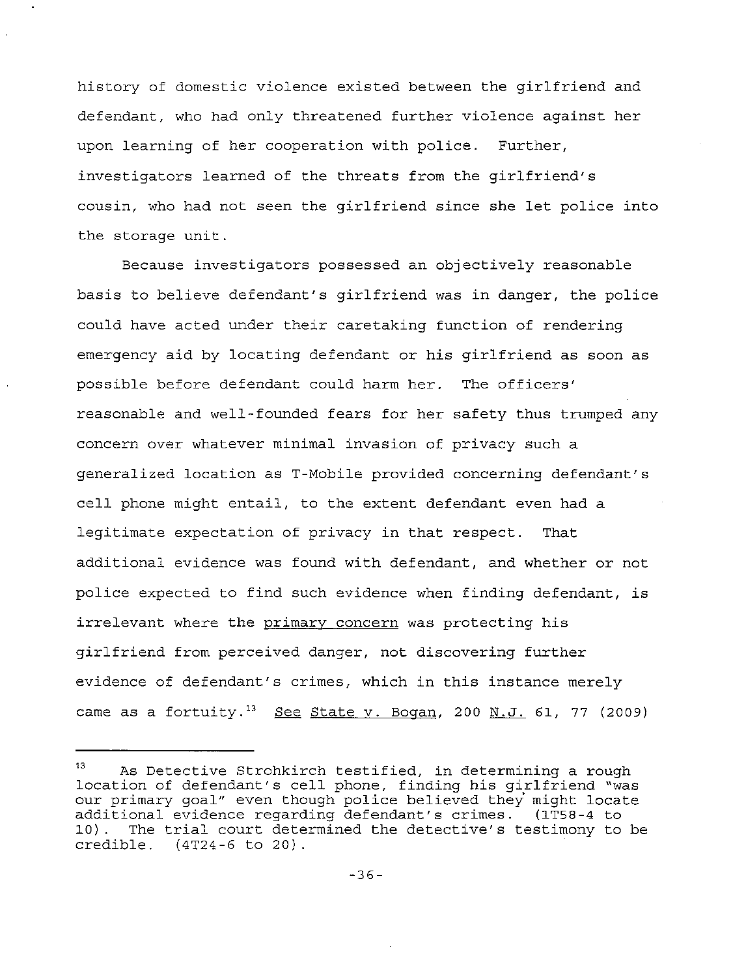history of domestic violence existed between the girlfriend and defendant, who had only threatened further violence against her upon learning of her cooperation with police. Further, investigators learned of the threats from the girlfriend's cousin, who had not seen the girlfriend since she let police into the storage unit.

Because investigators possessed an objectively reasonable basis to believe defendant's girlfriend was in danger, the police could have acted under their caretaking function of rendering emergency aid by locating defendant or his girlfriend as soon as possible before defendant could harm her. The officers' reasonable and well-founded fears for her safety thus trumped any concern over whatever minimal invasion of privacy such a generalized location as T-Mobile provided concerning defendant's cell phone might entail, to the extent defendant even had <sup>a</sup> legitimate expectation of privacy in that respect. That additional evidence was found with defendant, and whether or not police expected to find such evidence when finding defendant, is irrelevant where the primary concern was protecting his girlfriend from perceived danger, not discovering further evidence of defendant's crimes, which in this instance merely came as a fortuity.'3 See State **v.** Bogan, 200 **N.J.** 61, 77 (2009)

<sup>13</sup> As Detective Strohkirch testified, in determining <sup>a</sup> rough location of defendant's cell phone, finding his girlfriend "was our primary goal" even though police believed they might locate additional evidence regarding defendant's crimes. (lT58-4 to 10). The trial court determined the detective's testimony to be credible. (4T24-6 to 20) .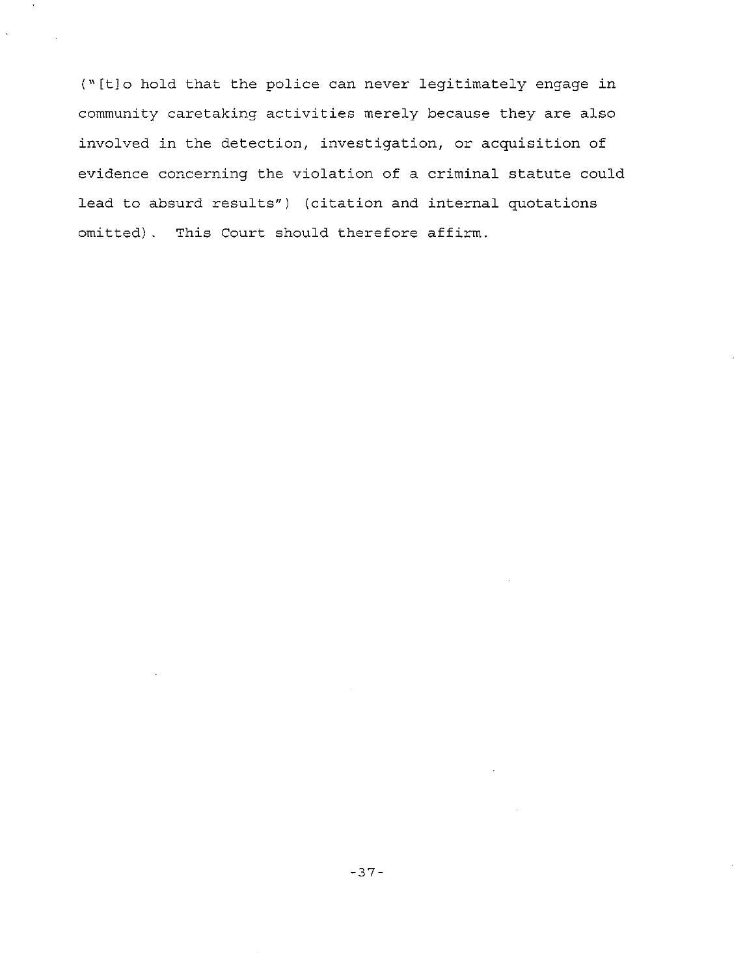("[t]o hold that the police can never legitimately engage in community caretaking activities merely because they are also involved in the detection, investigation, or acquisition of evidence concerning the violation of <sup>a</sup> criminal statute could lead to absurd results") (citation and internal quotations omitted). This Court should therefore affirm.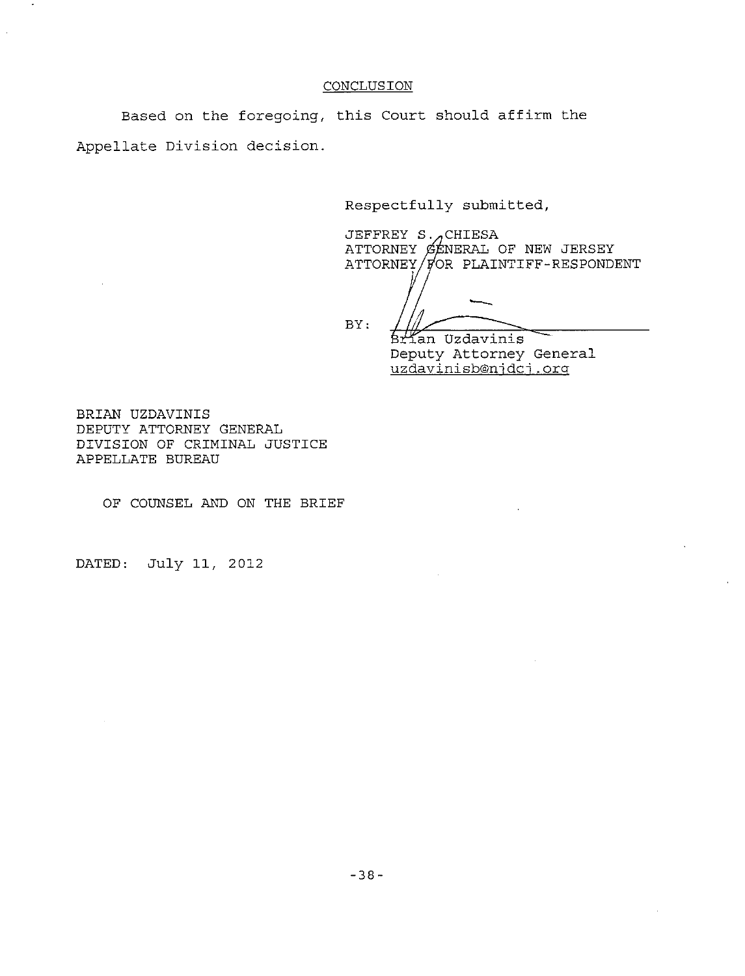### **CONCLUSION**

Based on the foregoing, this Court should affirm the Appellate Division decision.

Respectfully submitted,

JEFFREY  $S.\n\pi$ CHIESA ATTORNEY  $\not\in$  ENERAL OF NEW JERSEY  $ATTORNEY / \cancel{p}$ OR PLAINTIFF-RESPONDENT

BY:

Brian Uzdavinis Deputy Attorney General

uzdavinisb@njdcj.org

BRIAN UZDAVINIS DEPUTY ATTORNEY GENERAL DIVISION OF CRIMINAL JUSTICE APPELLATE BUREAU

OF COUNSEL AND ON THE BRIEF

DATED: July 11, 2012